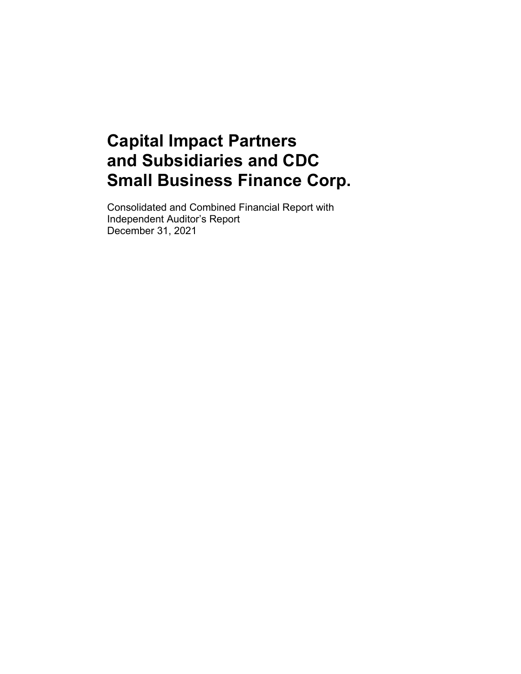Consolidated and Combined Financial Report with Independent Auditor's Report December 31, 2021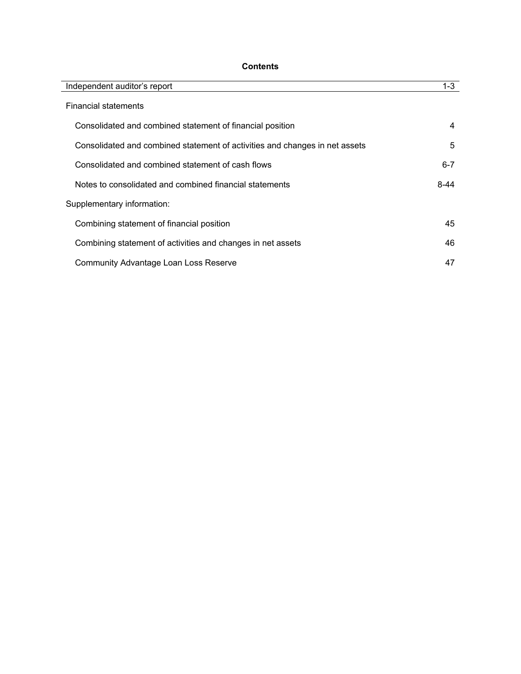## **Contents**

| Independent auditor's report                                                | $1 - 3$ |
|-----------------------------------------------------------------------------|---------|
| <b>Financial statements</b>                                                 |         |
| Consolidated and combined statement of financial position                   | 4       |
| Consolidated and combined statement of activities and changes in net assets | 5       |
| Consolidated and combined statement of cash flows                           | $6 - 7$ |
| Notes to consolidated and combined financial statements                     | 8-44    |
| Supplementary information:                                                  |         |
| Combining statement of financial position                                   | 45      |
| Combining statement of activities and changes in net assets                 | 46      |
| <b>Community Advantage Loan Loss Reserve</b>                                | 47      |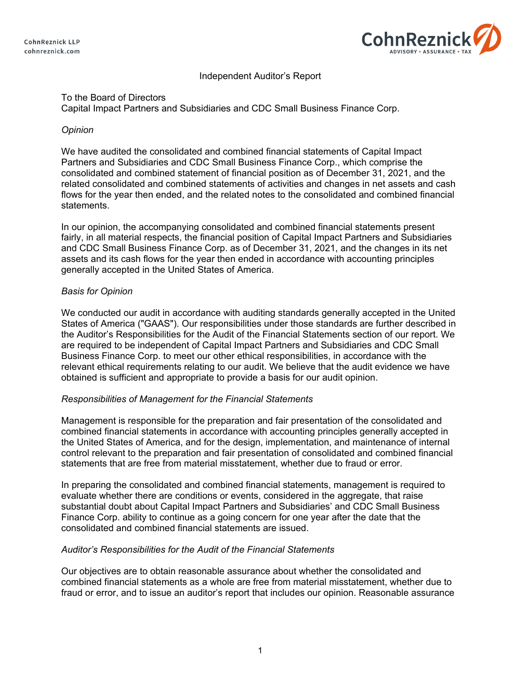**CohnReznick LLP** cohnreznick.com



## Independent Auditor's Report

## To the Board of Directors

Capital Impact Partners and Subsidiaries and CDC Small Business Finance Corp.

## *Opinion*

We have audited the consolidated and combined financial statements of Capital Impact Partners and Subsidiaries and CDC Small Business Finance Corp., which comprise the consolidated and combined statement of financial position as of December 31, 2021, and the related consolidated and combined statements of activities and changes in net assets and cash flows for the year then ended, and the related notes to the consolidated and combined financial statements.

In our opinion, the accompanying consolidated and combined financial statements present fairly, in all material respects, the financial position of Capital Impact Partners and Subsidiaries and CDC Small Business Finance Corp. as of December 31, 2021, and the changes in its net assets and its cash flows for the year then ended in accordance with accounting principles generally accepted in the United States of America.

## *Basis for Opinion*

We conducted our audit in accordance with auditing standards generally accepted in the United States of America ("GAAS"). Our responsibilities under those standards are further described in the Auditor's Responsibilities for the Audit of the Financial Statements section of our report. We are required to be independent of Capital Impact Partners and Subsidiaries and CDC Small Business Finance Corp. to meet our other ethical responsibilities, in accordance with the relevant ethical requirements relating to our audit. We believe that the audit evidence we have obtained is sufficient and appropriate to provide a basis for our audit opinion.

## *Responsibilities of Management for the Financial Statements*

Management is responsible for the preparation and fair presentation of the consolidated and combined financial statements in accordance with accounting principles generally accepted in the United States of America, and for the design, implementation, and maintenance of internal control relevant to the preparation and fair presentation of consolidated and combined financial statements that are free from material misstatement, whether due to fraud or error.

In preparing the consolidated and combined financial statements, management is required to evaluate whether there are conditions or events, considered in the aggregate, that raise substantial doubt about Capital Impact Partners and Subsidiaries' and CDC Small Business Finance Corp. ability to continue as a going concern for one year after the date that the consolidated and combined financial statements are issued.

## *Auditor's Responsibilities for the Audit of the Financial Statements*

Our objectives are to obtain reasonable assurance about whether the consolidated and combined financial statements as a whole are free from material misstatement, whether due to fraud or error, and to issue an auditor's report that includes our opinion. Reasonable assurance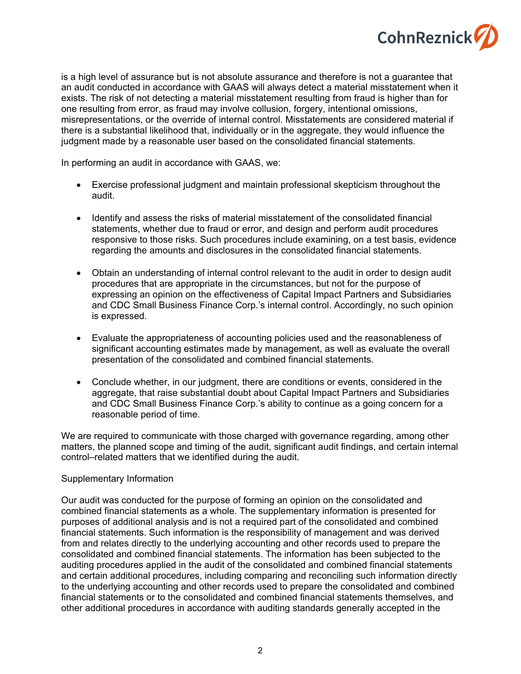

is a high level of assurance but is not absolute assurance and therefore is not a guarantee that an audit conducted in accordance with GAAS will always detect a material misstatement when it exists. The risk of not detecting a material misstatement resulting from fraud is higher than for one resulting from error, as fraud may involve collusion, forgery, intentional omissions, misrepresentations, or the override of internal control. Misstatements are considered material if there is a substantial likelihood that, individually or in the aggregate, they would influence the judgment made by a reasonable user based on the consolidated financial statements.

In performing an audit in accordance with GAAS, we:

- Exercise professional judgment and maintain professional skepticism throughout the audit.
- Identify and assess the risks of material misstatement of the consolidated financial statements, whether due to fraud or error, and design and perform audit procedures responsive to those risks. Such procedures include examining, on a test basis, evidence regarding the amounts and disclosures in the consolidated financial statements.
- Obtain an understanding of internal control relevant to the audit in order to design audit procedures that are appropriate in the circumstances, but not for the purpose of expressing an opinion on the effectiveness of Capital Impact Partners and Subsidiaries and CDC Small Business Finance Corp.'s internal control. Accordingly, no such opinion is expressed.
- Evaluate the appropriateness of accounting policies used and the reasonableness of significant accounting estimates made by management, as well as evaluate the overall presentation of the consolidated and combined financial statements.
- Conclude whether, in our judgment, there are conditions or events, considered in the aggregate, that raise substantial doubt about Capital Impact Partners and Subsidiaries and CDC Small Business Finance Corp.'s ability to continue as a going concern for a reasonable period of time.

We are required to communicate with those charged with governance regarding, among other matters, the planned scope and timing of the audit, significant audit findings, and certain internal control–related matters that we identified during the audit.

#### Supplementary Information

Our audit was conducted for the purpose of forming an opinion on the consolidated and combined financial statements as a whole. The supplementary information is presented for purposes of additional analysis and is not a required part of the consolidated and combined financial statements. Such information is the responsibility of management and was derived from and relates directly to the underlying accounting and other records used to prepare the consolidated and combined financial statements. The information has been subjected to the auditing procedures applied in the audit of the consolidated and combined financial statements and certain additional procedures, including comparing and reconciling such information directly to the underlying accounting and other records used to prepare the consolidated and combined financial statements or to the consolidated and combined financial statements themselves, and other additional procedures in accordance with auditing standards generally accepted in the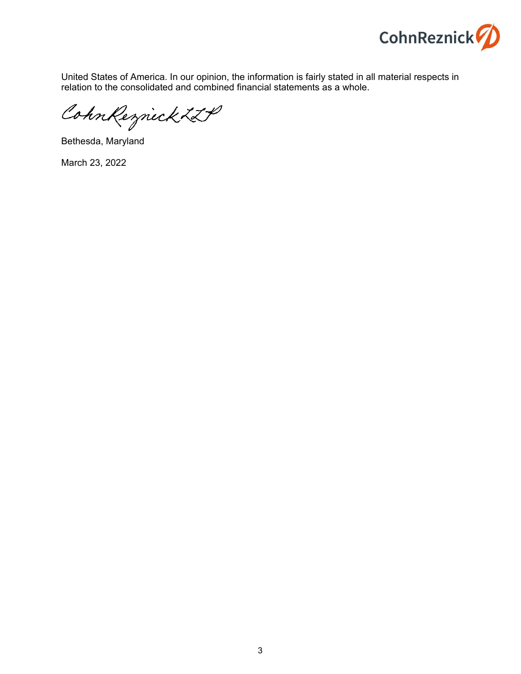

United States of America. In our opinion, the information is fairly stated in all material respects in relation to the consolidated and combined financial statements as a whole.

CohnReznick LLP

Bethesda, Maryland

March 23, 2022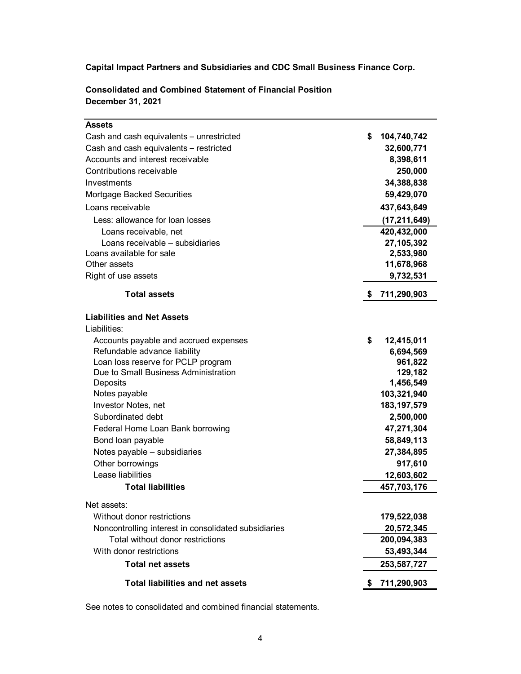| <b>Assets</b>                                        |    |                |
|------------------------------------------------------|----|----------------|
| Cash and cash equivalents - unrestricted             | \$ | 104,740,742    |
| Cash and cash equivalents - restricted               |    | 32,600,771     |
| Accounts and interest receivable                     |    | 8,398,611      |
| Contributions receivable                             |    | 250,000        |
| Investments                                          |    | 34,388,838     |
| Mortgage Backed Securities                           |    | 59,429,070     |
| Loans receivable                                     |    | 437,643,649    |
| Less: allowance for loan losses                      |    | (17, 211, 649) |
| Loans receivable, net                                |    | 420,432,000    |
| Loans receivable – subsidiaries                      |    | 27,105,392     |
| Loans available for sale                             |    | 2,533,980      |
| Other assets                                         |    | 11,678,968     |
| Right of use assets                                  |    | 9,732,531      |
| <b>Total assets</b>                                  | æ. | 711,290,903    |
| <b>Liabilities and Net Assets</b>                    |    |                |
| Liabilities:                                         |    |                |
| Accounts payable and accrued expenses                | \$ | 12,415,011     |
| Refundable advance liability                         |    | 6,694,569      |
| Loan loss reserve for PCLP program                   |    | 961,822        |
| Due to Small Business Administration                 |    | 129,182        |
| Deposits                                             |    | 1,456,549      |
| Notes payable                                        |    | 103,321,940    |
| Investor Notes, net                                  |    | 183, 197, 579  |
| Subordinated debt                                    |    | 2,500,000      |
| Federal Home Loan Bank borrowing                     |    | 47,271,304     |
| Bond loan payable                                    |    | 58,849,113     |
| Notes payable - subsidiaries                         |    | 27,384,895     |
| Other borrowings                                     |    | 917,610        |
| Lease liabilities<br><b>Total liabilities</b>        |    | 12,603,602     |
|                                                      |    | 457,703,176    |
| Net assets:                                          |    |                |
| Without donor restrictions                           |    | 179,522,038    |
| Noncontrolling interest in consolidated subsidiaries |    | 20,572,345     |
| Total without donor restrictions                     |    | 200,094,383    |
| With donor restrictions                              |    | 53,493,344     |
| <b>Total net assets</b>                              |    | 253,587,727    |
| <b>Total liabilities and net assets</b>              | S. | 711,290,903    |

**Consolidated and Combined Statement of Financial Position December 31, 2021**

See notes to consolidated and combined financial statements.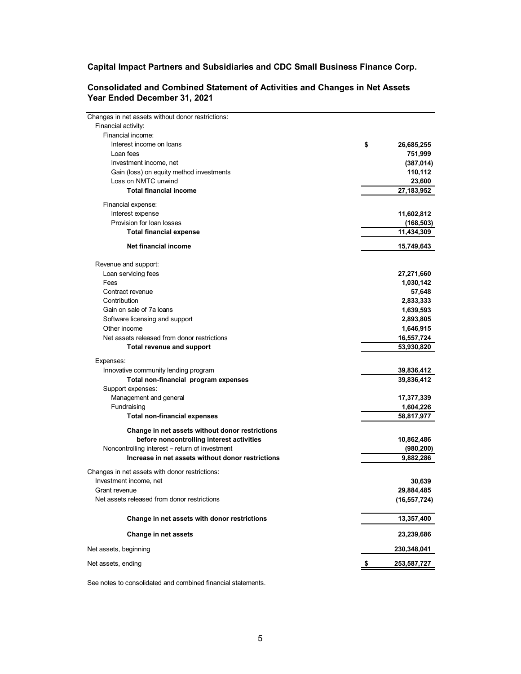| Changes in net assets without donor restrictions: |                  |
|---------------------------------------------------|------------------|
| Financial activity:                               |                  |
| Financial income:                                 |                  |
| Interest income on loans                          | \$<br>26,685,255 |
| Loan fees                                         | 751,999          |
| Investment income, net                            | (387, 014)       |
| Gain (loss) on equity method investments          | 110,112          |
| Loss on NMTC unwind                               | 23,600           |
| <b>Total financial income</b>                     | 27,183,952       |
| Financial expense:                                |                  |
| Interest expense                                  | 11,602,812       |
| Provision for loan losses                         | (168,503)        |
| <b>Total financial expense</b>                    | 11,434,309       |
| Net financial income                              | 15,749,643       |
| Revenue and support:                              |                  |
| Loan servicing fees                               | 27,271,660       |
| Fees                                              | 1,030,142        |
| Contract revenue                                  | 57,648           |
| Contribution                                      | 2,833,333        |
| Gain on sale of 7a loans                          | 1,639,593        |
| Software licensing and support                    | 2,893,805        |
| Other income                                      | 1,646,915        |
| Net assets released from donor restrictions       | 16,557,724       |
| <b>Total revenue and support</b>                  | 53,930,820       |
| Expenses:                                         |                  |
| Innovative community lending program              | 39,836,412       |
| Total non-financial program expenses              | 39,836,412       |
| Support expenses:                                 |                  |
| Management and general                            | 17,377,339       |
| Fundraising                                       | 1,604,226        |
| <b>Total non-financial expenses</b>               | 58,817,977       |
| Change in net assets without donor restrictions   |                  |
| before noncontrolling interest activities         | 10,862,486       |
| Noncontrolling interest - return of investment    | (980, 200)       |
| Increase in net assets without donor restrictions | 9,882,286        |
| Changes in net assets with donor restrictions:    |                  |
| Investment income, net                            | 30,639           |
| Grant revenue                                     | 29,884,485       |
| Net assets released from donor restrictions       | (16, 557, 724)   |
| Change in net assets with donor restrictions      | 13,357,400       |
| Change in net assets                              | 23,239,686       |
| Net assets, beginning                             | 230,348,041      |
| Net assets, ending                                | 253,587,727      |

**Consolidated and Combined Statement of Activities and Changes in Net Assets Year Ended December 31, 2021**

See notes to consolidated and combined financial statements.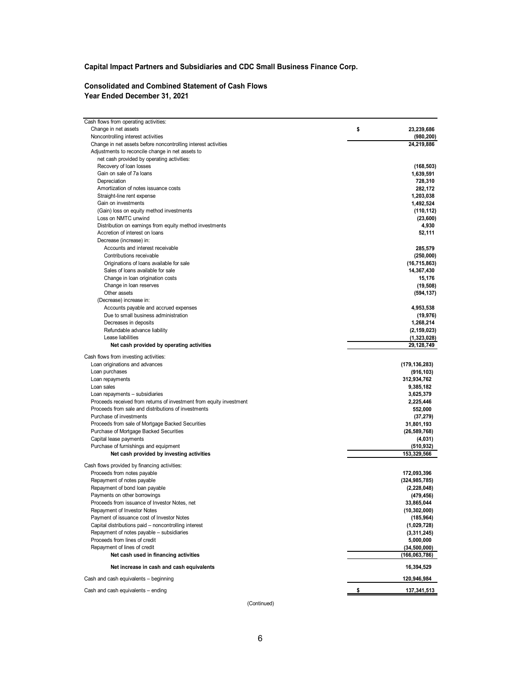## **Consolidated and Combined Statement of Cash Flows Year Ended December 31, 2021**

| Cash flows from operating activities:                               |                   |
|---------------------------------------------------------------------|-------------------|
| Change in net assets                                                | \$<br>23,239,686  |
| Noncontrolling interest activities                                  | (980, 200)        |
| Change in net assets before noncontrolling interest activities      | 24,219,886        |
| Adjustments to reconcile change in net assets to                    |                   |
| net cash provided by operating activities:                          |                   |
| Recovery of loan losses                                             | (168, 503)        |
| Gain on sale of 7a loans                                            | 1,639,591         |
| Depreciation                                                        | 728,310           |
| Amortization of notes issuance costs                                | 282,172           |
| Straight-line rent expense                                          | 1,203,038         |
| Gain on investments                                                 | 1,492,524         |
| (Gain) loss on equity method investments<br>Loss on NMTC unwind     | (110, 112)        |
| Distribution on earnings from equity method investments             | (23,600)<br>4,930 |
| Accretion of interest on loans                                      | 52,111            |
| Decrease (increase) in:                                             |                   |
| Accounts and interest receivable                                    | 285,579           |
| Contributions receivable                                            | (250,000)         |
| Originations of loans available for sale                            | (16, 715, 863)    |
| Sales of loans available for sale                                   | 14,367,430        |
| Change in loan origination costs                                    | 15,176            |
| Change in loan reserves                                             | (19, 508)         |
| Other assets                                                        | (594, 137)        |
| (Decrease) increase in:                                             |                   |
| Accounts payable and accrued expenses                               | 4,953,538         |
| Due to small business administration                                | (19, 976)         |
| Decreases in deposits                                               | 1,268,214         |
| Refundable advance liability                                        | (2, 159, 023)     |
| Lease liabilities                                                   | (1,323,028)       |
| Net cash provided by operating activities                           | 29,128,749        |
| Cash flows from investing activities:                               |                   |
| Loan originations and advances                                      | (179, 136, 283)   |
| Loan purchases                                                      | (916, 103)        |
| Loan repayments                                                     | 312,934,762       |
| Loan sales                                                          | 9,385,182         |
| Loan repayments - subsidiaries                                      | 3,625,379         |
| Proceeds received from returns of investment from equity investment | 2,225,446         |
| Proceeds from sale and distributions of investments                 | 552,000           |
| Purchase of investments                                             | (37, 279)         |
| Proceeds from sale of Mortgage Backed Securities                    | 31,801,193        |
| Purchase of Mortgage Backed Securities                              | (26, 589, 768)    |
| Capital lease payments                                              | (4,031)           |
| Purchase of furnishings and equipment                               | (510, 932)        |
| Net cash provided by investing activities                           | 153,329,566       |
| Cash flows provided by financing activities:                        |                   |
| Proceeds from notes payable                                         | 172,093,396       |
| Repayment of notes payable                                          | (324, 985, 785)   |
| Repayment of bond loan payable                                      | (2, 228, 048)     |
| Payments on other borrowings                                        | (479, 456)        |
| Proceeds from issuance of Investor Notes, net                       | 33,865,044        |
| Repayment of Investor Notes                                         | (10, 302, 000)    |
| Payment of issuance cost of Investor Notes                          | (185, 964)        |
| Capital distributions paid - noncontrolling interest                | (1,029,728)       |
| Repayment of notes payable - subsidiaries                           | (3,311,245)       |
| Proceeds from lines of credit                                       | 5,000,000         |
| Repayment of lines of credit                                        | (34,500,000)      |
| Net cash used in financing activities                               | (166,063,786)     |
| Net increase in cash and cash equivalents                           | 16,394,529        |
| Cash and cash equivalents - beginning                               | 120,946,984       |
| Cash and cash equivalents - ending                                  | \$<br>137,341,513 |

(Continued)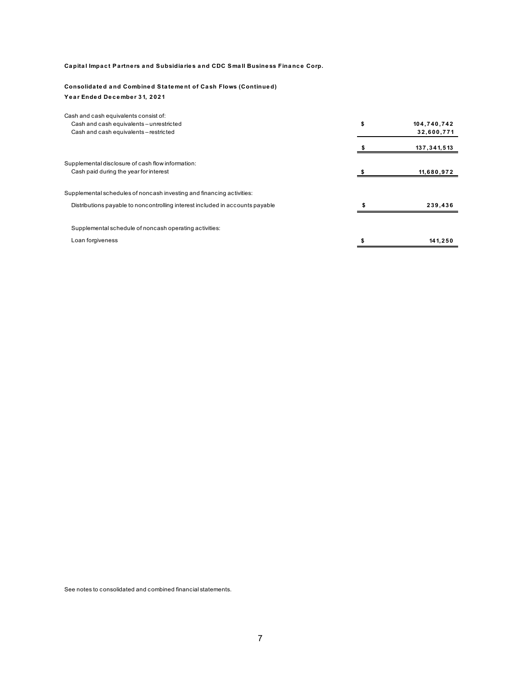#### **Consolida ted a nd Combined State me nt of Ca sh Flows (Continue d)** Year Ended December 31, 2021

| Cash and cash equivalents consist of:                                         |                   |
|-------------------------------------------------------------------------------|-------------------|
| Cash and cash equivalents - unrestricted                                      | \$<br>104,740,742 |
| Cash and cash equivalents-restricted                                          | 32,600,771        |
|                                                                               | 137,341,513       |
| Supplemental disclosure of cash flow information:                             |                   |
| Cash paid during the year for interest                                        | 11,680,972        |
|                                                                               |                   |
| Supplemental schedules of noncash investing and financing activities:         |                   |
| Distributions payable to noncontrolling interest included in accounts payable | 239,436           |
| Supplemental schedule of noncash operating activities:                        |                   |
| Loan forgiveness                                                              | 141,250           |
|                                                                               |                   |

See notes to consolidated and combined financial statements.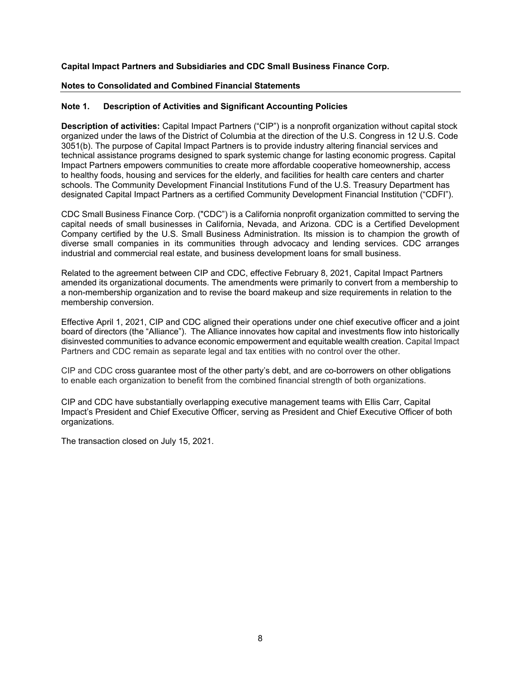#### **Notes to Consolidated and Combined Financial Statements**

## **Note 1. Description of Activities and Significant Accounting Policies**

**Description of activities:** Capital Impact Partners ("CIP") is a nonprofit organization without capital stock organized under the laws of the District of Columbia at the direction of the U.S. Congress in 12 U.S. Code 3051(b). The purpose of Capital Impact Partners is to provide industry altering financial services and technical assistance programs designed to spark systemic change for lasting economic progress. Capital Impact Partners empowers communities to create more affordable cooperative homeownership, access to healthy foods, housing and services for the elderly, and facilities for health care centers and charter schools. The Community Development Financial Institutions Fund of the U.S. Treasury Department has designated Capital Impact Partners as a certified Community Development Financial Institution ("CDFI").

CDC Small Business Finance Corp. ("CDC") is a California nonprofit organization committed to serving the capital needs of small businesses in California, Nevada, and Arizona. CDC is a Certified Development Company certified by the U.S. Small Business Administration. Its mission is to champion the growth of diverse small companies in its communities through advocacy and lending services. CDC arranges industrial and commercial real estate, and business development loans for small business.

Related to the agreement between CIP and CDC, effective February 8, 2021, Capital Impact Partners amended its organizational documents. The amendments were primarily to convert from a membership to a non-membership organization and to revise the board makeup and size requirements in relation to the membership conversion.

Effective April 1, 2021, CIP and CDC aligned their operations under one chief executive officer and a joint board of directors (the "Alliance"). The Alliance innovates how capital and investments flow into historically disinvested communities to advance economic empowerment and equitable wealth creation. Capital Impact Partners and CDC remain as separate legal and tax entities with no control over the other.

CIP and CDC cross guarantee most of the other party's debt, and are co-borrowers on other obligations to enable each organization to benefit from the combined financial strength of both organizations.

CIP and CDC have substantially overlapping executive management teams with Ellis Carr, Capital Impact's President and Chief Executive Officer, serving as President and Chief Executive Officer of both organizations.

The transaction closed on July 15, 2021.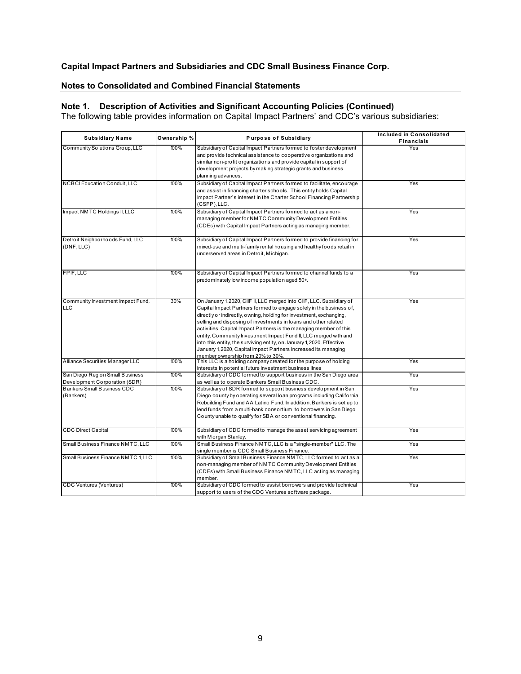## **Notes to Consolidated and Combined Financial Statements**

#### **Note 1. Description of Activities and Significant Accounting Policies (Continued)**

The following table provides information on Capital Impact Partners' and CDC's various subsidiaries:

| <b>Subsidiary Name</b>             | Ownership % | Purpose of Subsidiary                                                                                                       | Included in Consolidated<br><b>Financials</b> |
|------------------------------------|-------------|-----------------------------------------------------------------------------------------------------------------------------|-----------------------------------------------|
| Community Solutions Group, LLC     | 100%        | Subsidiary of Capital Impact Partners formed to foster development                                                          | Yes                                           |
|                                    |             | and provide technical assistance to cooperative organizations and                                                           |                                               |
|                                    |             | similar non-profit organizations and provide capital in support of                                                          |                                               |
|                                    |             | development projects by making strategic grants and business                                                                |                                               |
|                                    |             | planning advances.                                                                                                          |                                               |
| NCBCI Education Conduit, LLC       | 100%        | Subsidiary of Capital Impact Partners formed to facilitate, encourage                                                       | Yes                                           |
|                                    |             | and assist in financing charter schools. This entity holds Capital                                                          |                                               |
|                                    |             | Impact Partner's interest in the Charter School Financing Partnership<br>(CSFP), LLC.                                       |                                               |
| Impact NMTC Holdings II, LLC       | 100%        | Subsidiary of Capital Impact Partners formed to act as a non-                                                               | Yes                                           |
|                                    |             | managing member for NMTC Community Development Entities                                                                     |                                               |
|                                    |             | (CDEs) with Capital Impact Partners acting as managing member.                                                              |                                               |
| Detroit Neighborhoods Fund, LLC    | 100%        | Subsidiary of Capital Impact Partners formed to provide financing for                                                       | Yes                                           |
| (DNF, LLC)                         |             | mixed-use and multi-family rental housing and healthy foods retail in                                                       |                                               |
|                                    |             | underserved areas in Detroit, Michigan.                                                                                     |                                               |
|                                    |             |                                                                                                                             |                                               |
| FPIF, LLC                          | 100%        | Subsidiary of Capital Impact Partners formed to channel funds to a                                                          | Yes                                           |
|                                    |             | predominately low income population aged 50+.                                                                               |                                               |
|                                    |             |                                                                                                                             |                                               |
| Community Investment Impact Fund,  | 30%         | On January 1, 2020, CIIF II, LLC merged into CIIF, LLC. Subsidiary of                                                       | Yes                                           |
| <b>LLC</b>                         |             | Capital Impact Partners formed to engage solely in the business of,                                                         |                                               |
|                                    |             | directly or indirectly, o wning, holding for investment, exchanging,                                                        |                                               |
|                                    |             | selling and disposing of investments in loans and other related                                                             |                                               |
|                                    |             | activities. Capital Impact Partners is the managing member of this                                                          |                                               |
|                                    |             | entity. Community Investment Impact Fund II, LLC merged with and                                                            |                                               |
|                                    |             | into this entity, the surviving entity, on January 1, 2020. Effective                                                       |                                               |
|                                    |             | January 1, 2020, Capital Impact Partners increased its managing                                                             |                                               |
| Alliance Securities M anager LLC   | 100%        | member ownership from 20% to 30%                                                                                            | Yes                                           |
|                                    |             | This LLC is a holding company created for the purpose of holding<br>interests in potential future investment business lines |                                               |
| San Diego Region Small Business    | 100%        | Subsidiary of CDC formed to support business in the San Diego area                                                          | Yes                                           |
| Development Corporation (SDR)      |             | as well as to operate Bankers Small Business CDC.                                                                           |                                               |
| <b>Bankers Small Business CDC</b>  | 100%        | Subsidiary of SDR formed to support business development in San                                                             | Yes                                           |
| (Bankers)                          |             | Diego county by operating several loan programs including California                                                        |                                               |
|                                    |             | Rebuilding Fund and AA Latino Fund. In addition, Bankers is set up to                                                       |                                               |
|                                    |             | lend funds from a multi-bank consortium to borrowers in San Diego                                                           |                                               |
|                                    |             | County unable to qualify for SBA or conventional financing.                                                                 |                                               |
|                                    |             |                                                                                                                             |                                               |
| <b>CDC Direct Capital</b>          | 100%        | Subsidiary of CDC formed to manage the asset servicing agreement                                                            | Yes                                           |
|                                    |             | with M organ Stanley.                                                                                                       |                                               |
| Small Business Finance NMTC, LLC   | 100%        | Small Business Finance NMTC, LLC is a "single-member" LLC. The<br>single member is CDC Small Business Finance.              | Yes                                           |
| Small Business Finance NMTC 1, LLC | 100%        | Subsidiary of Small Business Finance NMTC, LLC formed to act as a                                                           | Yes                                           |
|                                    |             | non-managing member of NMTC Community Development Entities                                                                  |                                               |
|                                    |             | (CDEs) with Small Business Finance NMTC, LLC acting as managing                                                             |                                               |
|                                    |             | member.                                                                                                                     |                                               |
| <b>CDC Ventures (Ventures)</b>     | 100%        | Subsidiary of CDC formed to assist borrowers and provide technical                                                          | Yes                                           |
|                                    |             | support to users of the CDC Ventures software package.                                                                      |                                               |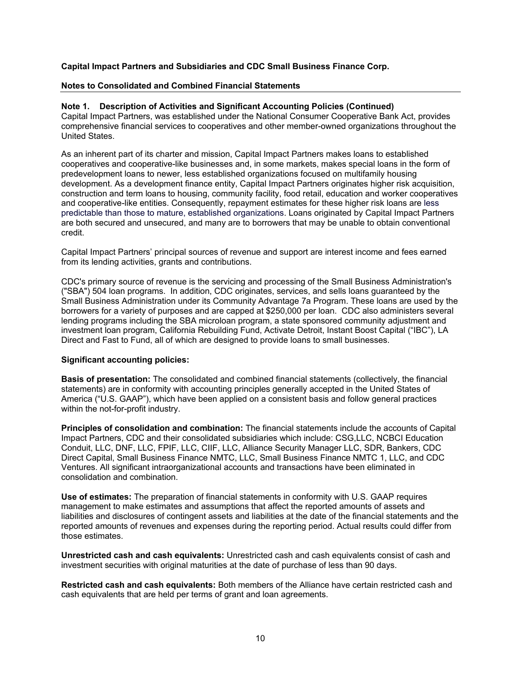#### **Notes to Consolidated and Combined Financial Statements**

#### **Note 1. Description of Activities and Significant Accounting Policies (Continued)**

Capital Impact Partners, was established under the National Consumer Cooperative Bank Act, provides comprehensive financial services to cooperatives and other member-owned organizations throughout the United States.

As an inherent part of its charter and mission, Capital Impact Partners makes loans to established cooperatives and cooperative-like businesses and, in some markets, makes special loans in the form of predevelopment loans to newer, less established organizations focused on multifamily housing development. As a development finance entity, Capital Impact Partners originates higher risk acquisition, construction and term loans to housing, community facility, food retail, education and worker cooperatives and cooperative-like entities. Consequently, repayment estimates for these higher risk loans are less predictable than those to mature, established organizations. Loans originated by Capital Impact Partners are both secured and unsecured, and many are to borrowers that may be unable to obtain conventional credit.

Capital Impact Partners' principal sources of revenue and support are interest income and fees earned from its lending activities, grants and contributions.

CDC's primary source of revenue is the servicing and processing of the Small Business Administration's ("SBA") 504 loan programs. In addition, CDC originates, services, and sells loans guaranteed by the Small Business Administration under its Community Advantage 7a Program. These loans are used by the borrowers for a variety of purposes and are capped at \$250,000 per loan. CDC also administers several lending programs including the SBA microloan program, a state sponsored community adjustment and investment loan program, California Rebuilding Fund, Activate Detroit, Instant Boost Capital ("IBC"), LA Direct and Fast to Fund, all of which are designed to provide loans to small businesses.

#### **Significant accounting policies:**

**Basis of presentation:** The consolidated and combined financial statements (collectively, the financial statements) are in conformity with accounting principles generally accepted in the United States of America ("U.S. GAAP"), which have been applied on a consistent basis and follow general practices within the not-for-profit industry.

**Principles of consolidation and combination:** The financial statements include the accounts of Capital Impact Partners, CDC and their consolidated subsidiaries which include: CSG,LLC, NCBCI Education Conduit, LLC, DNF, LLC, FPIF, LLC, CIIF, LLC, Alliance Security Manager LLC, SDR, Bankers, CDC Direct Capital, Small Business Finance NMTC, LLC, Small Business Finance NMTC 1, LLC, and CDC Ventures. All significant intraorganizational accounts and transactions have been eliminated in consolidation and combination.

**Use of estimates:** The preparation of financial statements in conformity with U.S. GAAP requires management to make estimates and assumptions that affect the reported amounts of assets and liabilities and disclosures of contingent assets and liabilities at the date of the financial statements and the reported amounts of revenues and expenses during the reporting period. Actual results could differ from those estimates.

**Unrestricted cash and cash equivalents:** Unrestricted cash and cash equivalents consist of cash and investment securities with original maturities at the date of purchase of less than 90 days.

**Restricted cash and cash equivalents:** Both members of the Alliance have certain restricted cash and cash equivalents that are held per terms of grant and loan agreements.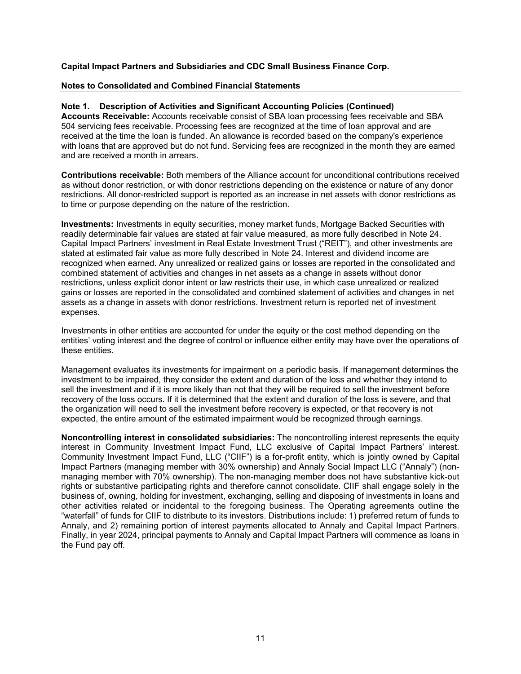#### **Notes to Consolidated and Combined Financial Statements**

#### **Note 1. Description of Activities and Significant Accounting Policies (Continued)**

**Accounts Receivable:** Accounts receivable consist of SBA loan processing fees receivable and SBA 504 servicing fees receivable. Processing fees are recognized at the time of loan approval and are received at the time the loan is funded. An allowance is recorded based on the company's experience with loans that are approved but do not fund. Servicing fees are recognized in the month they are earned and are received a month in arrears.

**Contributions receivable:** Both members of the Alliance account for unconditional contributions received as without donor restriction, or with donor restrictions depending on the existence or nature of any donor restrictions. All donor-restricted support is reported as an increase in net assets with donor restrictions as to time or purpose depending on the nature of the restriction.

**Investments:** Investments in equity securities, money market funds, Mortgage Backed Securities with readily determinable fair values are stated at fair value measured, as more fully described in Note 24. Capital Impact Partners' investment in Real Estate Investment Trust ("REIT"), and other investments are stated at estimated fair value as more fully described in Note 24. Interest and dividend income are recognized when earned. Any unrealized or realized gains or losses are reported in the consolidated and combined statement of activities and changes in net assets as a change in assets without donor restrictions, unless explicit donor intent or law restricts their use, in which case unrealized or realized gains or losses are reported in the consolidated and combined statement of activities and changes in net assets as a change in assets with donor restrictions. Investment return is reported net of investment expenses.

Investments in other entities are accounted for under the equity or the cost method depending on the entities' voting interest and the degree of control or influence either entity may have over the operations of these entities.

Management evaluates its investments for impairment on a periodic basis. If management determines the investment to be impaired, they consider the extent and duration of the loss and whether they intend to sell the investment and if it is more likely than not that they will be required to sell the investment before recovery of the loss occurs. If it is determined that the extent and duration of the loss is severe, and that the organization will need to sell the investment before recovery is expected, or that recovery is not expected, the entire amount of the estimated impairment would be recognized through earnings.

**Noncontrolling interest in consolidated subsidiaries:** The noncontrolling interest represents the equity interest in Community Investment Impact Fund, LLC exclusive of Capital Impact Partners' interest. Community Investment Impact Fund, LLC ("CIIF") is a for-profit entity, which is jointly owned by Capital Impact Partners (managing member with 30% ownership) and Annaly Social Impact LLC ("Annaly") (nonmanaging member with 70% ownership). The non-managing member does not have substantive kick-out rights or substantive participating rights and therefore cannot consolidate. CIIF shall engage solely in the business of, owning, holding for investment, exchanging, selling and disposing of investments in loans and other activities related or incidental to the foregoing business. The Operating agreements outline the "waterfall" of funds for CIIF to distribute to its investors. Distributions include: 1) preferred return of funds to Annaly, and 2) remaining portion of interest payments allocated to Annaly and Capital Impact Partners. Finally, in year 2024, principal payments to Annaly and Capital Impact Partners will commence as loans in the Fund pay off.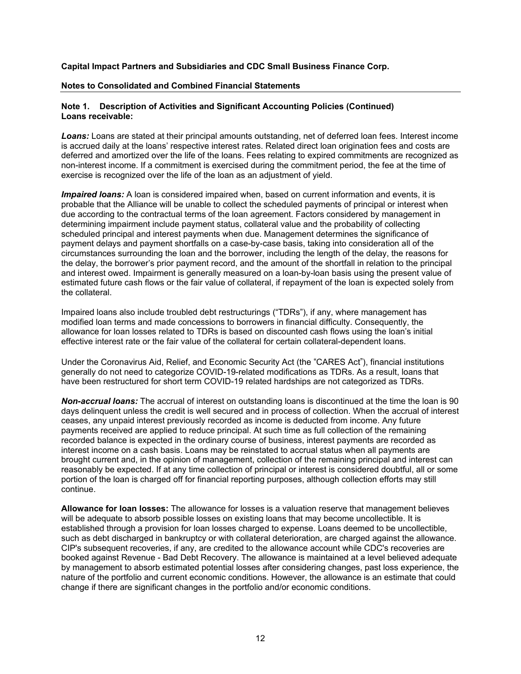#### **Notes to Consolidated and Combined Financial Statements**

#### **Note 1. Description of Activities and Significant Accounting Policies (Continued) Loans receivable:**

**Loans:** Loans are stated at their principal amounts outstanding, net of deferred loan fees. Interest income is accrued daily at the loans' respective interest rates. Related direct loan origination fees and costs are deferred and amortized over the life of the loans. Fees relating to expired commitments are recognized as non-interest income. If a commitment is exercised during the commitment period, the fee at the time of exercise is recognized over the life of the loan as an adjustment of yield.

*Impaired loans:* A loan is considered impaired when, based on current information and events, it is probable that the Alliance will be unable to collect the scheduled payments of principal or interest when due according to the contractual terms of the loan agreement. Factors considered by management in determining impairment include payment status, collateral value and the probability of collecting scheduled principal and interest payments when due. Management determines the significance of payment delays and payment shortfalls on a case-by-case basis, taking into consideration all of the circumstances surrounding the loan and the borrower, including the length of the delay, the reasons for the delay, the borrower's prior payment record, and the amount of the shortfall in relation to the principal and interest owed. Impairment is generally measured on a loan-by-loan basis using the present value of estimated future cash flows or the fair value of collateral, if repayment of the loan is expected solely from the collateral.

Impaired loans also include troubled debt restructurings ("TDRs"), if any, where management has modified loan terms and made concessions to borrowers in financial difficulty. Consequently, the allowance for loan losses related to TDRs is based on discounted cash flows using the loan's initial effective interest rate or the fair value of the collateral for certain collateral-dependent loans.

Under the Coronavirus Aid, Relief, and Economic Security Act (the "CARES Act"), financial institutions generally do not need to categorize COVID-19-related modifications as TDRs. As a result, loans that have been restructured for short term COVID-19 related hardships are not categorized as TDRs.

*Non-accrual loans:* The accrual of interest on outstanding loans is discontinued at the time the loan is 90 days delinquent unless the credit is well secured and in process of collection. When the accrual of interest ceases, any unpaid interest previously recorded as income is deducted from income. Any future payments received are applied to reduce principal. At such time as full collection of the remaining recorded balance is expected in the ordinary course of business, interest payments are recorded as interest income on a cash basis. Loans may be reinstated to accrual status when all payments are brought current and, in the opinion of management, collection of the remaining principal and interest can reasonably be expected. If at any time collection of principal or interest is considered doubtful, all or some portion of the loan is charged off for financial reporting purposes, although collection efforts may still continue.

**Allowance for loan losses:** The allowance for losses is a valuation reserve that management believes will be adequate to absorb possible losses on existing loans that may become uncollectible. It is established through a provision for loan losses charged to expense. Loans deemed to be uncollectible, such as debt discharged in bankruptcy or with collateral deterioration, are charged against the allowance. CIP's subsequent recoveries, if any, are credited to the allowance account while CDC's recoveries are booked against Revenue - Bad Debt Recovery. The allowance is maintained at a level believed adequate by management to absorb estimated potential losses after considering changes, past loss experience, the nature of the portfolio and current economic conditions. However, the allowance is an estimate that could change if there are significant changes in the portfolio and/or economic conditions.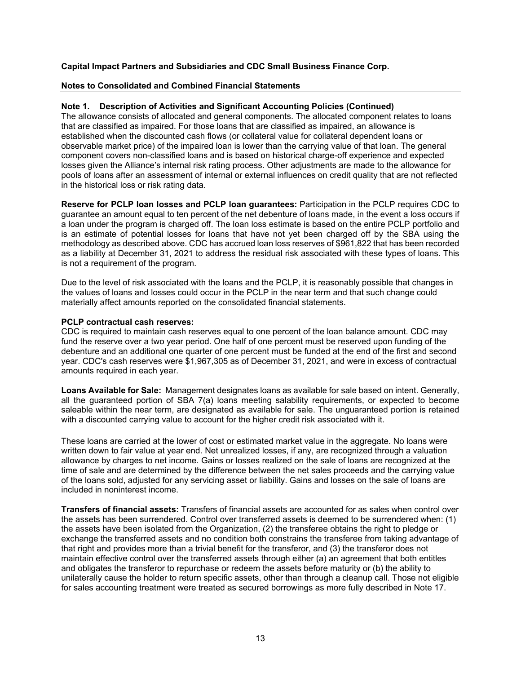#### **Notes to Consolidated and Combined Financial Statements**

#### **Note 1. Description of Activities and Significant Accounting Policies (Continued)**

The allowance consists of allocated and general components. The allocated component relates to loans that are classified as impaired. For those loans that are classified as impaired, an allowance is established when the discounted cash flows (or collateral value for collateral dependent loans or observable market price) of the impaired loan is lower than the carrying value of that loan. The general component covers non-classified loans and is based on historical charge-off experience and expected losses given the Alliance's internal risk rating process. Other adjustments are made to the allowance for pools of loans after an assessment of internal or external influences on credit quality that are not reflected in the historical loss or risk rating data.

**Reserve for PCLP loan losses and PCLP loan guarantees:** Participation in the PCLP requires CDC to guarantee an amount equal to ten percent of the net debenture of loans made, in the event a loss occurs if a loan under the program is charged off. The loan loss estimate is based on the entire PCLP portfolio and is an estimate of potential losses for loans that have not yet been charged off by the SBA using the methodology as described above. CDC has accrued loan loss reserves of \$961,822 that has been recorded as a liability at December 31, 2021 to address the residual risk associated with these types of loans. This is not a requirement of the program.

Due to the level of risk associated with the loans and the PCLP, it is reasonably possible that changes in the values of loans and losses could occur in the PCLP in the near term and that such change could materially affect amounts reported on the consolidated financial statements.

#### **PCLP contractual cash reserves:**

CDC is required to maintain cash reserves equal to one percent of the loan balance amount. CDC may fund the reserve over a two year period. One half of one percent must be reserved upon funding of the debenture and an additional one quarter of one percent must be funded at the end of the first and second year. CDC's cash reserves were \$1,967,305 as of December 31, 2021, and were in excess of contractual amounts required in each year.

**Loans Available for Sale:** Management designates loans as available for sale based on intent. Generally, all the guaranteed portion of SBA 7(a) loans meeting salability requirements, or expected to become saleable within the near term, are designated as available for sale. The unguaranteed portion is retained with a discounted carrying value to account for the higher credit risk associated with it.

These loans are carried at the lower of cost or estimated market value in the aggregate. No loans were written down to fair value at year end. Net unrealized losses, if any, are recognized through a valuation allowance by charges to net income. Gains or losses realized on the sale of loans are recognized at the time of sale and are determined by the difference between the net sales proceeds and the carrying value of the loans sold, adjusted for any servicing asset or liability. Gains and losses on the sale of loans are included in noninterest income.

**Transfers of financial assets:** Transfers of financial assets are accounted for as sales when control over the assets has been surrendered. Control over transferred assets is deemed to be surrendered when: (1) the assets have been isolated from the Organization, (2) the transferee obtains the right to pledge or exchange the transferred assets and no condition both constrains the transferee from taking advantage of that right and provides more than a trivial benefit for the transferor, and (3) the transferor does not maintain effective control over the transferred assets through either (a) an agreement that both entitles and obligates the transferor to repurchase or redeem the assets before maturity or (b) the ability to unilaterally cause the holder to return specific assets, other than through a cleanup call. Those not eligible for sales accounting treatment were treated as secured borrowings as more fully described in Note 17.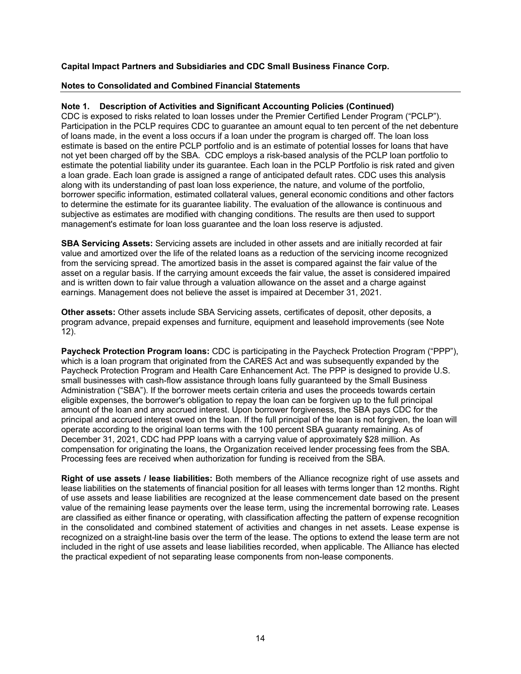## **Notes to Consolidated and Combined Financial Statements**

## **Note 1. Description of Activities and Significant Accounting Policies (Continued)**

CDC is exposed to risks related to loan losses under the Premier Certified Lender Program ("PCLP"). Participation in the PCLP requires CDC to guarantee an amount equal to ten percent of the net debenture of loans made, in the event a loss occurs if a loan under the program is charged off. The loan loss estimate is based on the entire PCLP portfolio and is an estimate of potential losses for loans that have not yet been charged off by the SBA. CDC employs a risk-based analysis of the PCLP loan portfolio to estimate the potential liability under its guarantee. Each loan in the PCLP Portfolio is risk rated and given a loan grade. Each loan grade is assigned a range of anticipated default rates. CDC uses this analysis along with its understanding of past loan loss experience, the nature, and volume of the portfolio, borrower specific information, estimated collateral values, general economic conditions and other factors to determine the estimate for its guarantee liability. The evaluation of the allowance is continuous and subjective as estimates are modified with changing conditions. The results are then used to support management's estimate for loan loss guarantee and the loan loss reserve is adjusted.

**SBA Servicing Assets:** Servicing assets are included in other assets and are initially recorded at fair value and amortized over the life of the related loans as a reduction of the servicing income recognized from the servicing spread. The amortized basis in the asset is compared against the fair value of the asset on a regular basis. If the carrying amount exceeds the fair value, the asset is considered impaired and is written down to fair value through a valuation allowance on the asset and a charge against earnings. Management does not believe the asset is impaired at December 31, 2021.

**Other assets:** Other assets include SBA Servicing assets, certificates of deposit, other deposits, a program advance, prepaid expenses and furniture, equipment and leasehold improvements (see Note 12).

**Paycheck Protection Program loans:** CDC is participating in the Paycheck Protection Program ("PPP"), which is a loan program that originated from the CARES Act and was subsequently expanded by the Paycheck Protection Program and Health Care Enhancement Act. The PPP is designed to provide U.S. small businesses with cash-flow assistance through loans fully guaranteed by the Small Business Administration ("SBA"). If the borrower meets certain criteria and uses the proceeds towards certain eligible expenses, the borrower's obligation to repay the loan can be forgiven up to the full principal amount of the loan and any accrued interest. Upon borrower forgiveness, the SBA pays CDC for the principal and accrued interest owed on the loan. If the full principal of the loan is not forgiven, the loan will operate according to the original loan terms with the 100 percent SBA guaranty remaining. As of December 31, 2021, CDC had PPP loans with a carrying value of approximately \$28 million. As compensation for originating the loans, the Organization received lender processing fees from the SBA. Processing fees are received when authorization for funding is received from the SBA.

**Right of use assets / lease liabilities:** Both members of the Alliance recognize right of use assets and lease liabilities on the statements of financial position for all leases with terms longer than 12 months. Right of use assets and lease liabilities are recognized at the lease commencement date based on the present value of the remaining lease payments over the lease term, using the incremental borrowing rate. Leases are classified as either finance or operating, with classification affecting the pattern of expense recognition in the consolidated and combined statement of activities and changes in net assets. Lease expense is recognized on a straight-line basis over the term of the lease. The options to extend the lease term are not included in the right of use assets and lease liabilities recorded, when applicable. The Alliance has elected the practical expedient of not separating lease components from non-lease components.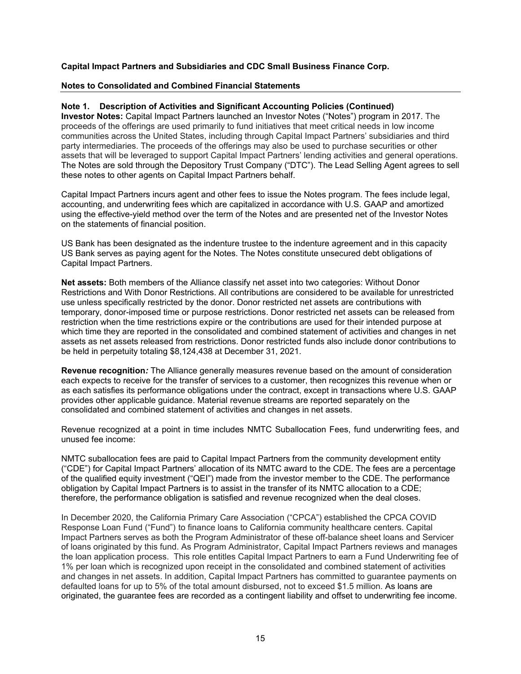#### **Notes to Consolidated and Combined Financial Statements**

#### **Note 1. Description of Activities and Significant Accounting Policies (Continued)**

**Investor Notes:** Capital Impact Partners launched an Investor Notes ("Notes") program in 2017. The proceeds of the offerings are used primarily to fund initiatives that meet critical needs in low income communities across the United States, including through Capital Impact Partners' subsidiaries and third party intermediaries. The proceeds of the offerings may also be used to purchase securities or other assets that will be leveraged to support Capital Impact Partners' lending activities and general operations. The Notes are sold through the Depository Trust Company ("DTC"). The Lead Selling Agent agrees to sell these notes to other agents on Capital Impact Partners behalf.

Capital Impact Partners incurs agent and other fees to issue the Notes program. The fees include legal, accounting, and underwriting fees which are capitalized in accordance with U.S. GAAP and amortized using the effective-yield method over the term of the Notes and are presented net of the Investor Notes on the statements of financial position.

US Bank has been designated as the indenture trustee to the indenture agreement and in this capacity US Bank serves as paying agent for the Notes. The Notes constitute unsecured debt obligations of Capital Impact Partners.

**Net assets:** Both members of the Alliance classify net asset into two categories: Without Donor Restrictions and With Donor Restrictions. All contributions are considered to be available for unrestricted use unless specifically restricted by the donor. Donor restricted net assets are contributions with temporary, donor-imposed time or purpose restrictions. Donor restricted net assets can be released from restriction when the time restrictions expire or the contributions are used for their intended purpose at which time they are reported in the consolidated and combined statement of activities and changes in net assets as net assets released from restrictions. Donor restricted funds also include donor contributions to be held in perpetuity totaling \$8,124,438 at December 31, 2021.

**Revenue recognition***:* The Alliance generally measures revenue based on the amount of consideration each expects to receive for the transfer of services to a customer, then recognizes this revenue when or as each satisfies its performance obligations under the contract, except in transactions where U.S. GAAP provides other applicable guidance. Material revenue streams are reported separately on the consolidated and combined statement of activities and changes in net assets.

Revenue recognized at a point in time includes NMTC Suballocation Fees, fund underwriting fees, and unused fee income:

NMTC suballocation fees are paid to Capital Impact Partners from the community development entity ("CDE") for Capital Impact Partners' allocation of its NMTC award to the CDE. The fees are a percentage of the qualified equity investment ("QEI") made from the investor member to the CDE. The performance obligation by Capital Impact Partners is to assist in the transfer of its NMTC allocation to a CDE; therefore, the performance obligation is satisfied and revenue recognized when the deal closes.

In December 2020, the California Primary Care Association ("CPCA") established the CPCA COVID Response Loan Fund ("Fund") to finance loans to California community healthcare centers. Capital Impact Partners serves as both the Program Administrator of these off-balance sheet loans and Servicer of loans originated by this fund. As Program Administrator, Capital Impact Partners reviews and manages the loan application process. This role entitles Capital Impact Partners to earn a Fund Underwriting fee of 1% per loan which is recognized upon receipt in the consolidated and combined statement of activities and changes in net assets. In addition, Capital Impact Partners has committed to guarantee payments on defaulted loans for up to 5% of the total amount disbursed, not to exceed \$1.5 million. As loans are originated, the guarantee fees are recorded as a contingent liability and offset to underwriting fee income.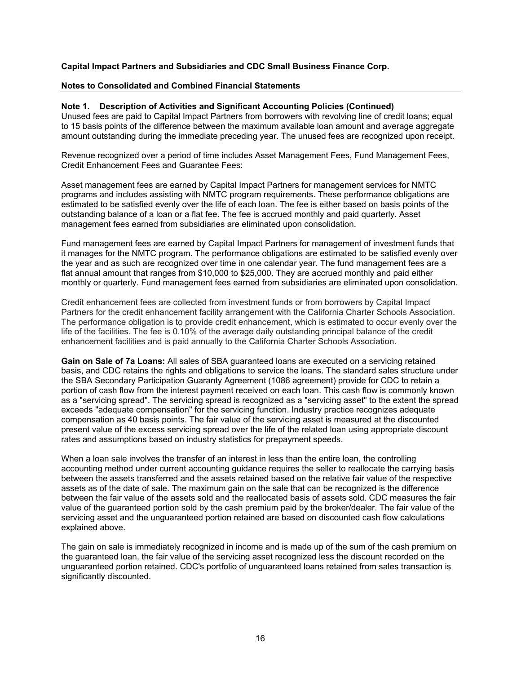#### **Notes to Consolidated and Combined Financial Statements**

#### **Note 1. Description of Activities and Significant Accounting Policies (Continued)**

Unused fees are paid to Capital Impact Partners from borrowers with revolving line of credit loans; equal to 15 basis points of the difference between the maximum available loan amount and average aggregate amount outstanding during the immediate preceding year. The unused fees are recognized upon receipt.

Revenue recognized over a period of time includes Asset Management Fees, Fund Management Fees, Credit Enhancement Fees and Guarantee Fees:

Asset management fees are earned by Capital Impact Partners for management services for NMTC programs and includes assisting with NMTC program requirements. These performance obligations are estimated to be satisfied evenly over the life of each loan. The fee is either based on basis points of the outstanding balance of a loan or a flat fee. The fee is accrued monthly and paid quarterly. Asset management fees earned from subsidiaries are eliminated upon consolidation.

Fund management fees are earned by Capital Impact Partners for management of investment funds that it manages for the NMTC program. The performance obligations are estimated to be satisfied evenly over the year and as such are recognized over time in one calendar year. The fund management fees are a flat annual amount that ranges from \$10,000 to \$25,000. They are accrued monthly and paid either monthly or quarterly. Fund management fees earned from subsidiaries are eliminated upon consolidation.

Credit enhancement fees are collected from investment funds or from borrowers by Capital Impact Partners for the credit enhancement facility arrangement with the California Charter Schools Association. The performance obligation is to provide credit enhancement, which is estimated to occur evenly over the life of the facilities. The fee is 0.10% of the average daily outstanding principal balance of the credit enhancement facilities and is paid annually to the California Charter Schools Association.

**Gain on Sale of 7a Loans:** All sales of SBA guaranteed loans are executed on a servicing retained basis, and CDC retains the rights and obligations to service the loans. The standard sales structure under the SBA Secondary Participation Guaranty Agreement (1086 agreement) provide for CDC to retain a portion of cash flow from the interest payment received on each loan. This cash flow is commonly known as a "servicing spread". The servicing spread is recognized as a "servicing asset" to the extent the spread exceeds "adequate compensation" for the servicing function. Industry practice recognizes adequate compensation as 40 basis points. The fair value of the servicing asset is measured at the discounted present value of the excess servicing spread over the life of the related loan using appropriate discount rates and assumptions based on industry statistics for prepayment speeds.

When a loan sale involves the transfer of an interest in less than the entire loan, the controlling accounting method under current accounting guidance requires the seller to reallocate the carrying basis between the assets transferred and the assets retained based on the relative fair value of the respective assets as of the date of sale. The maximum gain on the sale that can be recognized is the difference between the fair value of the assets sold and the reallocated basis of assets sold. CDC measures the fair value of the guaranteed portion sold by the cash premium paid by the broker/dealer. The fair value of the servicing asset and the unguaranteed portion retained are based on discounted cash flow calculations explained above.

The gain on sale is immediately recognized in income and is made up of the sum of the cash premium on the guaranteed loan, the fair value of the servicing asset recognized less the discount recorded on the unguaranteed portion retained. CDC's portfolio of unguaranteed loans retained from sales transaction is significantly discounted.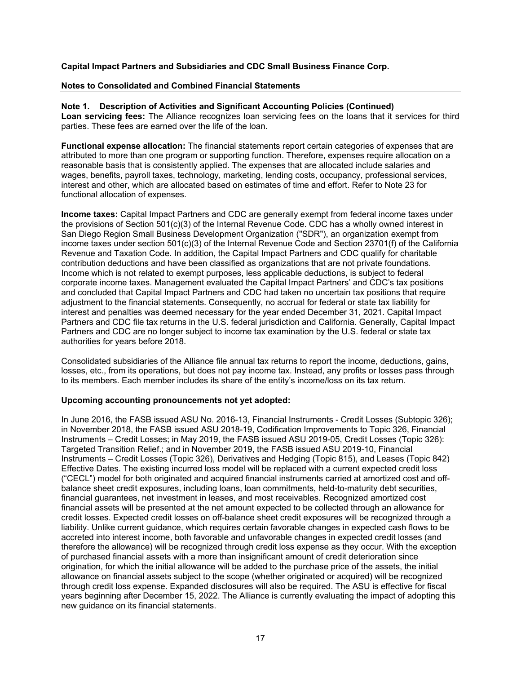#### **Notes to Consolidated and Combined Financial Statements**

**Note 1. Description of Activities and Significant Accounting Policies (Continued) Loan servicing fees:** The Alliance recognizes loan servicing fees on the loans that it services for third parties. These fees are earned over the life of the loan.

**Functional expense allocation:** The financial statements report certain categories of expenses that are attributed to more than one program or supporting function. Therefore, expenses require allocation on a reasonable basis that is consistently applied. The expenses that are allocated include salaries and wages, benefits, payroll taxes, technology, marketing, lending costs, occupancy, professional services, interest and other, which are allocated based on estimates of time and effort. Refer to Note 23 for functional allocation of expenses.

**Income taxes:** Capital Impact Partners and CDC are generally exempt from federal income taxes under the provisions of Section 501(c)(3) of the Internal Revenue Code. CDC has a wholly owned interest in San Diego Region Small Business Development Organization ("SDR"), an organization exempt from income taxes under section 501(c)(3) of the Internal Revenue Code and Section 23701(f) of the California Revenue and Taxation Code. In addition, the Capital Impact Partners and CDC qualify for charitable contribution deductions and have been classified as organizations that are not private foundations. Income which is not related to exempt purposes, less applicable deductions, is subject to federal corporate income taxes. Management evaluated the Capital Impact Partners' and CDC's tax positions and concluded that Capital Impact Partners and CDC had taken no uncertain tax positions that require adjustment to the financial statements. Consequently, no accrual for federal or state tax liability for interest and penalties was deemed necessary for the year ended December 31, 2021. Capital Impact Partners and CDC file tax returns in the U.S. federal jurisdiction and California. Generally, Capital Impact Partners and CDC are no longer subject to income tax examination by the U.S. federal or state tax authorities for years before 2018.

Consolidated subsidiaries of the Alliance file annual tax returns to report the income, deductions, gains, losses, etc., from its operations, but does not pay income tax. Instead, any profits or losses pass through to its members. Each member includes its share of the entity's income/loss on its tax return.

#### **Upcoming accounting pronouncements not yet adopted:**

In June 2016, the FASB issued ASU No. 2016-13, Financial Instruments - Credit Losses (Subtopic 326); in November 2018, the FASB issued ASU 2018-19, Codification Improvements to Topic 326, Financial Instruments – Credit Losses; in May 2019, the FASB issued ASU 2019-05, Credit Losses (Topic 326): Targeted Transition Relief.; and in November 2019, the FASB issued ASU 2019-10, Financial Instruments – Credit Losses (Topic 326), Derivatives and Hedging (Topic 815), and Leases (Topic 842) Effective Dates. The existing incurred loss model will be replaced with a current expected credit loss ("CECL") model for both originated and acquired financial instruments carried at amortized cost and offbalance sheet credit exposures, including loans, loan commitments, held-to-maturity debt securities, financial guarantees, net investment in leases, and most receivables. Recognized amortized cost financial assets will be presented at the net amount expected to be collected through an allowance for credit losses. Expected credit losses on off-balance sheet credit exposures will be recognized through a liability. Unlike current guidance, which requires certain favorable changes in expected cash flows to be accreted into interest income, both favorable and unfavorable changes in expected credit losses (and therefore the allowance) will be recognized through credit loss expense as they occur. With the exception of purchased financial assets with a more than insignificant amount of credit deterioration since origination, for which the initial allowance will be added to the purchase price of the assets, the initial allowance on financial assets subject to the scope (whether originated or acquired) will be recognized through credit loss expense. Expanded disclosures will also be required. The ASU is effective for fiscal years beginning after December 15, 2022. The Alliance is currently evaluating the impact of adopting this new guidance on its financial statements.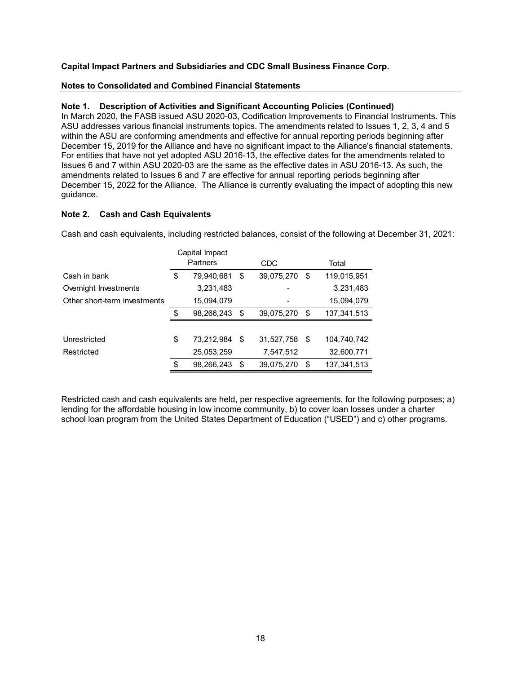#### **Notes to Consolidated and Combined Financial Statements**

#### **Note 1. Description of Activities and Significant Accounting Policies (Continued)**

In March 2020, the FASB issued ASU 2020-03, Codification Improvements to Financial Instruments. This ASU addresses various financial instruments topics. The amendments related to Issues 1, 2, 3, 4 and 5 within the ASU are conforming amendments and effective for annual reporting periods beginning after December 15, 2019 for the Alliance and have no significant impact to the Alliance's financial statements. For entities that have not yet adopted ASU 2016-13, the effective dates for the amendments related to Issues 6 and 7 within ASU 2020-03 are the same as the effective dates in ASU 2016-13. As such, the amendments related to Issues 6 and 7 are effective for annual reporting periods beginning after December 15, 2022 for the Alliance. The Alliance is currently evaluating the impact of adopting this new guidance.

#### **Note 2. Cash and Cash Equivalents**

Cash and cash equivalents, including restricted balances, consist of the following at December 31, 2021:

|                              | Capital Impact   |            |            |                     |
|------------------------------|------------------|------------|------------|---------------------|
|                              | Partners         | <b>CDC</b> |            | Total               |
| Cash in bank                 | \$<br>79,940,681 | \$         | 39,075,270 | \$<br>119,015,951   |
| Overnight Investments        | 3,231,483        |            |            | 3,231,483           |
| Other short-term investments | 15,094,079       |            |            | 15,094,079          |
|                              | \$<br>98,266,243 | \$         | 39,075,270 | \$<br>137, 341, 513 |
|                              |                  |            |            |                     |
| Unrestricted                 | \$<br>73,212,984 | \$         | 31,527,758 | \$<br>104,740,742   |
| Restricted                   | 25,053,259       |            | 7,547,512  | 32,600,771          |
|                              | \$<br>98,266,243 | \$         | 39,075,270 | \$<br>137.341.513   |

Restricted cash and cash equivalents are held, per respective agreements, for the following purposes; a) lending for the affordable housing in low income community, b) to cover loan losses under a charter school loan program from the United States Department of Education ("USED") and c) other programs.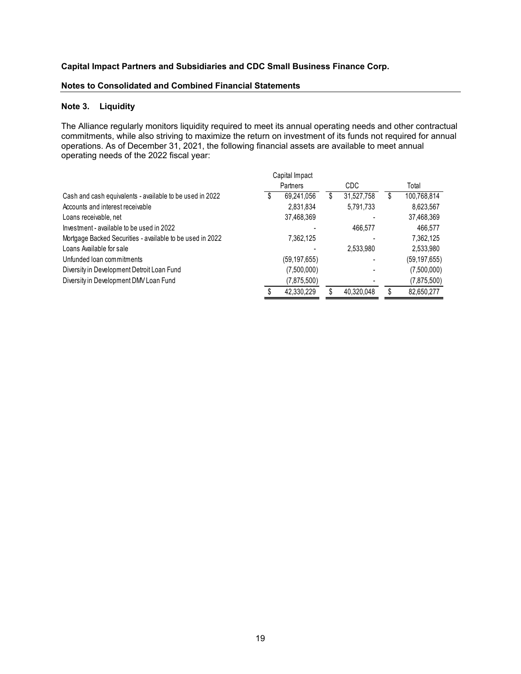#### **Notes to Consolidated and Combined Financial Statements**

## **Note 3. Liquidity**

The Alliance regularly monitors liquidity required to meet its annual operating needs and other contractual commitments, while also striving to maximize the return on investment of its funds not required for annual operations. As of December 31, 2021, the following financial assets are available to meet annual operating needs of the 2022 fiscal year:

|                                                           |   | Capital Impact |   |            |   |                |
|-----------------------------------------------------------|---|----------------|---|------------|---|----------------|
|                                                           |   | Partners       |   | CDC        |   | Total          |
| Cash and cash equivalents - available to be used in 2022  | S | 69,241,056     | S | 31,527,758 | S | 100,768,814    |
| Accounts and interest receivable                          |   | 2,831,834      |   | 5,791,733  |   | 8,623,567      |
| Loans receivable, net                                     |   | 37,468,369     |   |            |   | 37,468,369     |
| Investment - available to be used in 2022                 |   |                |   | 466,577    |   | 466,577        |
| Mortgage Backed Securities - available to be used in 2022 |   | 7,362,125      |   |            |   | 7,362,125      |
| Loans Available for sale                                  |   |                |   | 2,533,980  |   | 2,533,980      |
| Unfunded loan commitments                                 |   | (59, 197, 655) |   |            |   | (59, 197, 655) |
| Diversity in Development Detroit Loan Fund                |   | (7,500,000)    |   |            |   | (7,500,000)    |
| Diversity in Development DMV Loan Fund                    |   | (7,875,500)    |   |            |   | (7,875,500)    |
|                                                           |   | 42.330.229     |   | 40.320.048 |   | 82,650,277     |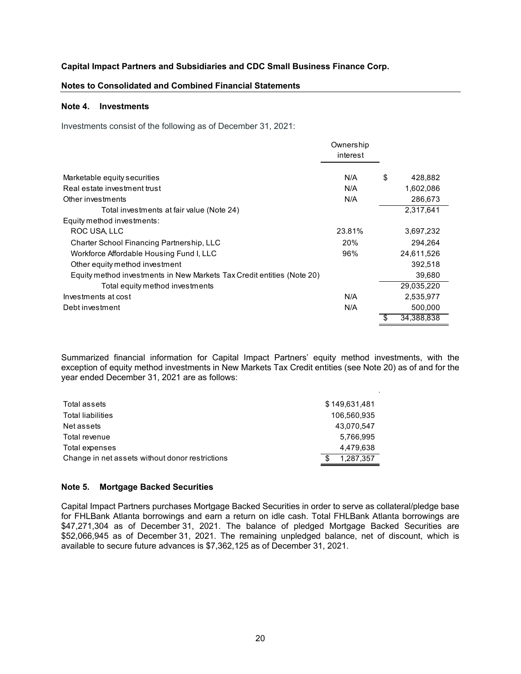#### **Notes to Consolidated and Combined Financial Statements**

#### **Note 4. Investments**

Investments consist of the following as of December 31, 2021:

|                                                                        | Ownership<br>interest |                  |
|------------------------------------------------------------------------|-----------------------|------------------|
| Marketable equity securities                                           | N/A                   | \$<br>428,882    |
| Real estate investment trust                                           | N/A                   | 1,602,086        |
| Other investments                                                      | N/A                   | 286,673          |
| Total investments at fair value (Note 24)                              |                       | 2,317,641        |
| Equity method investments:                                             |                       |                  |
| ROC USA, LLC                                                           | 23.81%                | 3,697,232        |
| Charter School Financing Partnership, LLC                              | 20%                   | 294,264          |
| Workforce Affordable Housing Fund I, LLC                               | 96%                   | 24,611,526       |
| Other equity method investment                                         |                       | 392,518          |
| Equity method investments in New Markets Tax Credit entities (Note 20) |                       | 39,680           |
| Total equity method investments                                        |                       | 29,035,220       |
| Investments at cost                                                    | N/A                   | 2,535,977        |
| Debt investment                                                        | N/A                   | 500.000          |
|                                                                        |                       | \$<br>34,388,838 |

Summarized financial information for Capital Impact Partners' equity method investments, with the exception of equity method investments in New Markets Tax Credit entities (see Note 20) as of and for the year ended December 31, 2021 are as follows:

| Total assets                                    | \$149,631,481   |
|-------------------------------------------------|-----------------|
| <b>Total liabilities</b>                        | 106.560.935     |
| Net assets                                      | 43.070.547      |
| Total revenue                                   | 5.766.995       |
| Total expenses                                  | 4.479.638       |
| Change in net assets without donor restrictions | \$<br>1.287.357 |

#### **Note 5. Mortgage Backed Securities**

Capital Impact Partners purchases Mortgage Backed Securities in order to serve as collateral/pledge base for FHLBank Atlanta borrowings and earn a return on idle cash. Total FHLBank Atlanta borrowings are \$47,271,304 as of December 31, 2021. The balance of pledged Mortgage Backed Securities are \$52,066,945 as of December 31, 2021. The remaining unpledged balance, net of discount, which is available to secure future advances is \$7,362,125 as of December 31, 2021.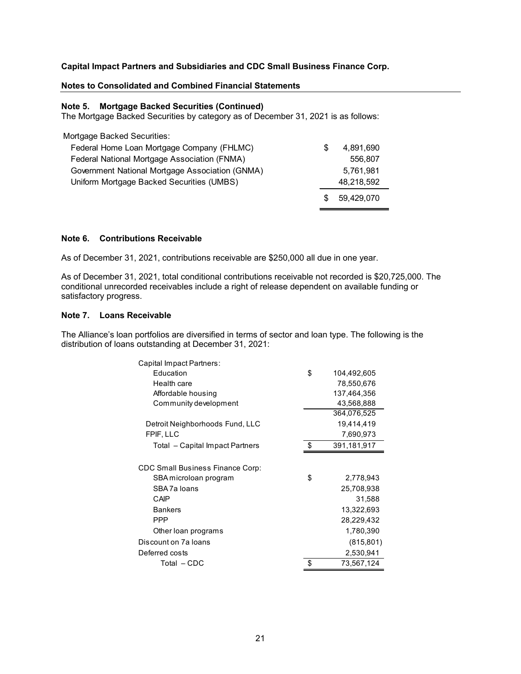#### **Notes to Consolidated and Combined Financial Statements**

#### **Note 5. Mortgage Backed Securities (Continued)**

The Mortgage Backed Securities by category as of December 31, 2021 is as follows:

| Mortgage Backed Securities:                     |     |            |
|-------------------------------------------------|-----|------------|
| Federal Home Loan Mortgage Company (FHLMC)      | S   | 4.891.690  |
| Federal National Mortgage Association (FNMA)    |     | 556.807    |
| Government National Mortgage Association (GNMA) |     | 5.761.981  |
| Uniform Mortgage Backed Securities (UMBS)       |     | 48,218,592 |
|                                                 | \$. | 59,429,070 |

#### **Note 6. Contributions Receivable**

As of December 31, 2021, contributions receivable are \$250,000 all due in one year.

As of December 31, 2021, total conditional contributions receivable not recorded is \$20,725,000. The conditional unrecorded receivables include a right of release dependent on available funding or satisfactory progress.

### **Note 7. Loans Receivable**

The Alliance's loan portfolios are diversified in terms of sector and loan type. The following is the distribution of loans outstanding at December 31, 2021:

| Capital Impact Partners:                |                   |
|-----------------------------------------|-------------------|
| Education                               | \$<br>104,492,605 |
| Health care                             | 78,550,676        |
| Affordable housing                      | 137,464,356       |
| Community development                   | 43,568,888        |
|                                         | 364,076,525       |
| Detroit Neighborhoods Fund, LLC         | 19,414,419        |
| FPIF, LLC                               | 7,690,973         |
| Total - Capital Impact Partners         | \$<br>391,181,917 |
|                                         |                   |
| <b>CDC Small Business Finance Corp:</b> |                   |
| SBA microloan program                   | \$<br>2,778,943   |
| SBA7a loans                             | 25,708,938        |
| CAIP                                    | 31,588            |
| <b>Bankers</b>                          | 13,322,693        |
| <b>PPP</b>                              | 28,229,432        |
| Other loan programs                     | 1,780,390         |
| Discount on 7a loans                    | (815, 801)        |
| Deferred costs                          | 2,530,941         |
| Total – CDC                             | \$<br>73,567,124  |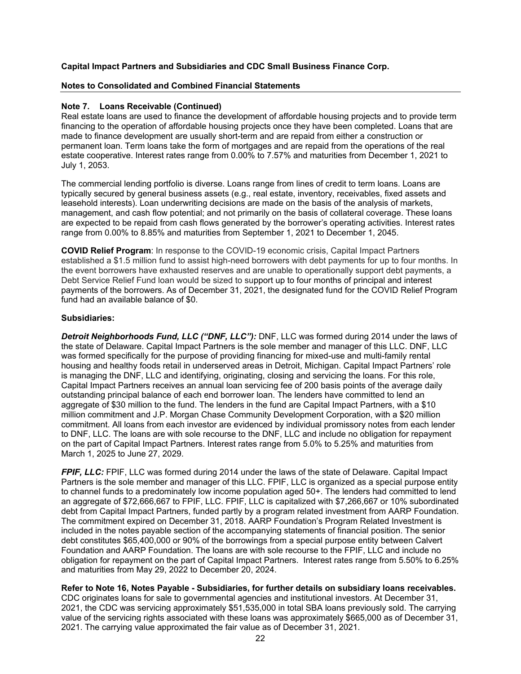## **Notes to Consolidated and Combined Financial Statements**

## **Note 7. Loans Receivable (Continued)**

Real estate loans are used to finance the development of affordable housing projects and to provide term financing to the operation of affordable housing projects once they have been completed. Loans that are made to finance development are usually short-term and are repaid from either a construction or permanent loan. Term loans take the form of mortgages and are repaid from the operations of the real estate cooperative. Interest rates range from 0.00% to 7.57% and maturities from December 1, 2021 to July 1, 2053.

The commercial lending portfolio is diverse. Loans range from lines of credit to term loans. Loans are typically secured by general business assets (e.g., real estate, inventory, receivables, fixed assets and leasehold interests). Loan underwriting decisions are made on the basis of the analysis of markets, management, and cash flow potential; and not primarily on the basis of collateral coverage. These loans are expected to be repaid from cash flows generated by the borrower's operating activities. Interest rates range from 0.00% to 8.85% and maturities from September 1, 2021 to December 1, 2045.

**COVID Relief Program**: In response to the COVID-19 economic crisis, Capital Impact Partners established a \$1.5 million fund to assist high-need borrowers with debt payments for up to four months. In the event borrowers have exhausted reserves and are unable to operationally support debt payments, a Debt Service Relief Fund loan would be sized to support up to four months of principal and interest payments of the borrowers. As of December 31, 2021, the designated fund for the COVID Relief Program fund had an available balance of \$0.

## **Subsidiaries:**

*Detroit Neighborhoods Fund, LLC ("DNF, LLC"):* DNF, LLC was formed during 2014 under the laws of the state of Delaware. Capital Impact Partners is the sole member and manager of this LLC. DNF, LLC was formed specifically for the purpose of providing financing for mixed-use and multi-family rental housing and healthy foods retail in underserved areas in Detroit, Michigan. Capital Impact Partners' role is managing the DNF, LLC and identifying, originating, closing and servicing the loans. For this role, Capital Impact Partners receives an annual loan servicing fee of 200 basis points of the average daily outstanding principal balance of each end borrower loan. The lenders have committed to lend an aggregate of \$30 million to the fund. The lenders in the fund are Capital Impact Partners, with a \$10 million commitment and J.P. Morgan Chase Community Development Corporation, with a \$20 million commitment. All loans from each investor are evidenced by individual promissory notes from each lender to DNF, LLC. The loans are with sole recourse to the DNF, LLC and include no obligation for repayment on the part of Capital Impact Partners. Interest rates range from 5.0% to 5.25% and maturities from March 1, 2025 to June 27, 2029.

*FPIF, LLC:* FPIF, LLC was formed during 2014 under the laws of the state of Delaware. Capital Impact Partners is the sole member and manager of this LLC. FPIF, LLC is organized as a special purpose entity to channel funds to a predominately low income population aged 50+. The lenders had committed to lend an aggregate of \$72,666,667 to FPIF, LLC. FPIF, LLC is capitalized with \$7,266,667 or 10% subordinated debt from Capital Impact Partners, funded partly by a program related investment from AARP Foundation. The commitment expired on December 31, 2018. AARP Foundation's Program Related Investment is included in the notes payable section of the accompanying statements of financial position. The senior debt constitutes \$65,400,000 or 90% of the borrowings from a special purpose entity between Calvert Foundation and AARP Foundation. The loans are with sole recourse to the FPIF, LLC and include no obligation for repayment on the part of Capital Impact Partners. Interest rates range from 5.50% to 6.25% and maturities from May 29, 2022 to December 20, 2024.

**Refer to Note 16, Notes Payable - Subsidiaries, for further details on subsidiary loans receivables.**  CDC originates loans for sale to governmental agencies and institutional investors. At December 31, 2021, the CDC was servicing approximately \$51,535,000 in total SBA loans previously sold. The carrying value of the servicing rights associated with these loans was approximately \$665,000 as of December 31,

2021. The carrying value approximated the fair value as of December 31, 2021.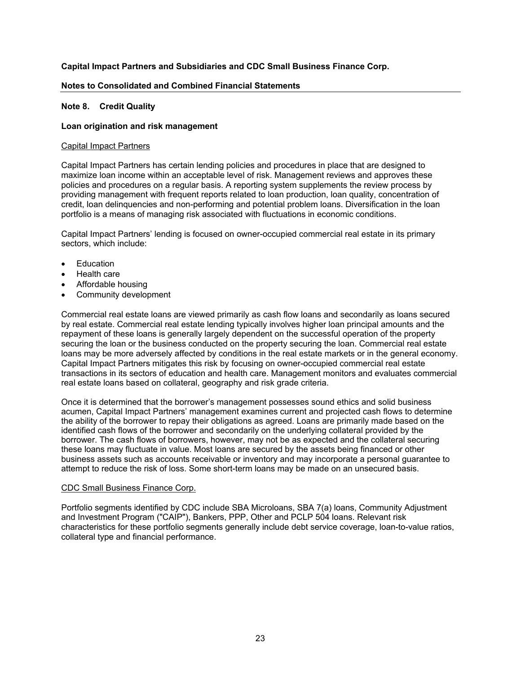#### **Notes to Consolidated and Combined Financial Statements**

#### **Note 8. Credit Quality**

#### **Loan origination and risk management**

#### Capital Impact Partners

Capital Impact Partners has certain lending policies and procedures in place that are designed to maximize loan income within an acceptable level of risk. Management reviews and approves these policies and procedures on a regular basis. A reporting system supplements the review process by providing management with frequent reports related to loan production, loan quality, concentration of credit, loan delinquencies and non-performing and potential problem loans. Diversification in the loan portfolio is a means of managing risk associated with fluctuations in economic conditions.

Capital Impact Partners' lending is focused on owner-occupied commercial real estate in its primary sectors, which include:

- Education
- Health care
- Affordable housing
- Community development

Commercial real estate loans are viewed primarily as cash flow loans and secondarily as loans secured by real estate. Commercial real estate lending typically involves higher loan principal amounts and the repayment of these loans is generally largely dependent on the successful operation of the property securing the loan or the business conducted on the property securing the loan. Commercial real estate loans may be more adversely affected by conditions in the real estate markets or in the general economy. Capital Impact Partners mitigates this risk by focusing on owner-occupied commercial real estate transactions in its sectors of education and health care. Management monitors and evaluates commercial real estate loans based on collateral, geography and risk grade criteria.

Once it is determined that the borrower's management possesses sound ethics and solid business acumen, Capital Impact Partners' management examines current and projected cash flows to determine the ability of the borrower to repay their obligations as agreed. Loans are primarily made based on the identified cash flows of the borrower and secondarily on the underlying collateral provided by the borrower. The cash flows of borrowers, however, may not be as expected and the collateral securing these loans may fluctuate in value. Most loans are secured by the assets being financed or other business assets such as accounts receivable or inventory and may incorporate a personal guarantee to attempt to reduce the risk of loss. Some short-term loans may be made on an unsecured basis.

#### CDC Small Business Finance Corp.

Portfolio segments identified by CDC include SBA Microloans, SBA 7(a) loans, Community Adjustment and Investment Program ("CAIP"), Bankers, PPP, Other and PCLP 504 loans. Relevant risk characteristics for these portfolio segments generally include debt service coverage, loan-to-value ratios, collateral type and financial performance.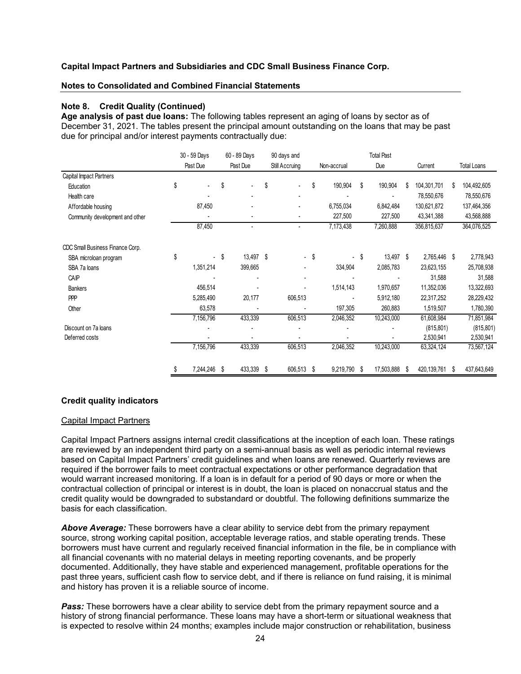#### **Notes to Consolidated and Combined Financial Statements**

#### **Note 8. Credit Quality (Continued)**

**Age analysis of past due loans:** The following tables represent an aging of loans by sector as of December 31, 2021. The tables present the principal amount outstanding on the loans that may be past due for principal and/or interest payments contractually due:

|                                  | 30 - 59 Days    |      | 60 - 89 Days |      | 90 days and    | <b>Total Past</b> |             |    |            |    |              |    |                    |
|----------------------------------|-----------------|------|--------------|------|----------------|-------------------|-------------|----|------------|----|--------------|----|--------------------|
|                                  | Past Due        |      | Past Due     |      | Still Accruing |                   | Non-accrual |    | Due        |    | Current      |    | <b>Total Loans</b> |
| Capital Impact Partners          |                 |      |              |      |                |                   |             |    |            |    |              |    |                    |
| Education                        | \$              | \$   |              | \$   |                | \$                | 190,904     | Ŝ  | 190,904    | S  | 104,301,701  | \$ | 104,492,605        |
| Health care                      |                 |      |              |      |                |                   |             |    |            |    | 78,550,676   |    | 78,550,676         |
| Affordable housing               | 87,450          |      |              |      |                |                   | 6,755,034   |    | 6,842,484  |    | 130,621,872  |    | 137,464,356        |
| Community development and other  |                 |      | ٠            |      |                |                   | 227,500     |    | 227,500    |    | 43,341,388   |    | 43,568,888         |
|                                  | 87,450          |      | ٠            |      |                |                   | 7,173,438   |    | 7,260,888  |    | 356,815,637  |    | 364,076,525        |
| CDC Small Business Finance Corp. |                 |      |              |      |                |                   |             |    |            |    |              |    |                    |
| SBA microloan program            | \$              | - \$ | 13,497       | - \$ | ÷.             | \$                |             | -S | 13,497 \$  |    | 2,765,446 \$ |    | 2,778,943          |
| SBA 7a loans                     | 1,351,214       |      | 399,665      |      |                |                   | 334,904     |    | 2,085,783  |    | 23,623,155   |    | 25,708,938         |
| CAIP                             |                 |      |              |      |                |                   |             |    |            |    | 31,588       |    | 31,588             |
| <b>Bankers</b>                   | 456,514         |      |              |      |                |                   | 1,514,143   |    | 1,970,657  |    | 11,352,036   |    | 13,322,693         |
| <b>PPP</b>                       | 5,285,490       |      | 20,177       |      | 606,513        |                   |             |    | 5,912,180  |    | 22,317,252   |    | 28,229,432         |
| Other                            | 63,578          |      |              |      |                |                   | 197,305     |    | 260,883    |    | 1,519,507    |    | 1,780,390          |
|                                  | 7,156,796       |      | 433,339      |      | 606,513        |                   | 2,046,352   |    | 10,243,000 |    | 61,608,984   |    | 71,851,984         |
| Discount on 7a loans             |                 |      |              |      |                |                   |             |    |            |    | (815, 801)   |    | (815, 801)         |
| Deferred costs                   |                 |      |              |      |                |                   |             |    |            |    | 2,530,941    |    | 2,530,941          |
|                                  | 7,156,796       |      | 433,339      |      | 606,513        |                   | 2,046,352   |    | 10,243,000 |    | 63,324,124   |    | 73,567,124         |
|                                  | \$<br>7,244,246 | S    | 433,339      | \$   | 606,513        | \$                | 9,219,790   | S  | 17,503,888 | \$ | 420,139,761  | \$ | 437,643,649        |

#### **Credit quality indicators**

#### Capital Impact Partners

Capital Impact Partners assigns internal credit classifications at the inception of each loan. These ratings are reviewed by an independent third party on a semi-annual basis as well as periodic internal reviews based on Capital Impact Partners' credit guidelines and when loans are renewed. Quarterly reviews are required if the borrower fails to meet contractual expectations or other performance degradation that would warrant increased monitoring. If a loan is in default for a period of 90 days or more or when the contractual collection of principal or interest is in doubt, the loan is placed on nonaccrual status and the credit quality would be downgraded to substandard or doubtful. The following definitions summarize the basis for each classification.

*Above Average:* These borrowers have a clear ability to service debt from the primary repayment source, strong working capital position, acceptable leverage ratios, and stable operating trends. These borrowers must have current and regularly received financial information in the file, be in compliance with all financial covenants with no material delays in meeting reporting covenants, and be properly documented. Additionally, they have stable and experienced management, profitable operations for the past three years, sufficient cash flow to service debt, and if there is reliance on fund raising, it is minimal and history has proven it is a reliable source of income.

**Pass:** These borrowers have a clear ability to service debt from the primary repayment source and a history of strong financial performance. These loans may have a short-term or situational weakness that is expected to resolve within 24 months; examples include major construction or rehabilitation, business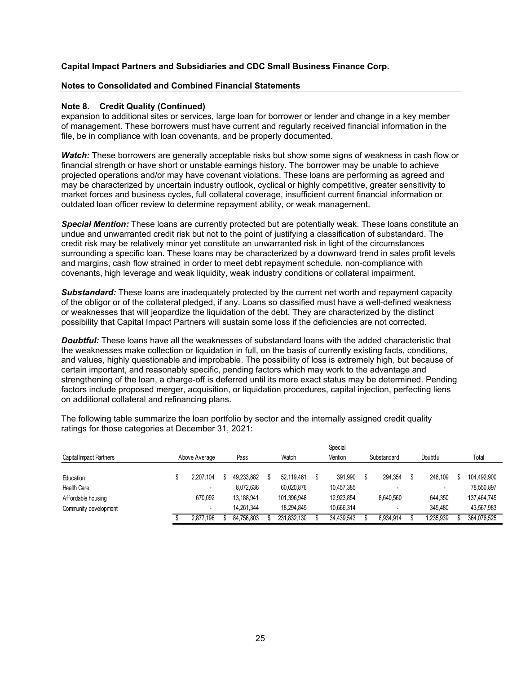#### **Notes to Consolidated and Combined Financial Statements**

#### **Note 8. Credit Quality (Continued)**

expansion to additional sites or services, large loan for borrower or lender and change in a key member of management. These borrowers must have current and regularly received financial information in the file, be in compliance with loan covenants, and be properly documented.

*Watch:* These borrowers are generally acceptable risks but show some signs of weakness in cash flow or financial strength or have short or unstable earnings history. The borrower may be unable to achieve projected operations and/or may have covenant violations. These loans are performing as agreed and may be characterized by uncertain industry outlook, cyclical or highly competitive, greater sensitivity to market forces and business cycles, full collateral coverage, insufficient current financial information or outdated loan officer review to determine repayment ability, or weak management.

*Special Mention:* These loans are currently protected but are potentially weak. These loans constitute an undue and unwarranted credit risk but not to the point of justifying a classification of substandard. The credit risk may be relatively minor yet constitute an unwarranted risk in light of the circumstances surrounding a specific loan. These loans may be characterized by a downward trend in sales profit levels and margins, cash flow strained in order to meet debt repayment schedule, non-compliance with covenants, high leverage and weak liquidity, weak industry conditions or collateral impairment.

*Substandard:* These loans are inadequately protected by the current net worth and repayment capacity of the obligor or of the collateral pledged, if any. Loans so classified must have a well-defined weakness or weaknesses that will jeopardize the liquidation of the debt. They are characterized by the distinct possibility that Capital Impact Partners will sustain some loss if the deficiencies are not corrected.

**Doubtful:** These loans have all the weaknesses of substandard loans with the added characteristic that the weaknesses make collection or liquidation in full, on the basis of currently existing facts, conditions, and values, highly questionable and improbable. The possibility of loss is extremely high, but because of certain important, and reasonably specific, pending factors which may work to the advantage and strengthening of the loan, a charge-off is deferred until its more exact status may be determined. Pending factors include proposed merger, acquisition, or liquidation procedures, capital injection, perfecting liens on additional collateral and refinancing plans.

The following table summarize the loan portfolio by sector and the internally assigned credit quality ratings for those categories at December 31, 2021:

|                         |               |            |             | Special    |             |          |             |
|-------------------------|---------------|------------|-------------|------------|-------------|----------|-------------|
| Capital Impact Partners | Above Average | Pass       | Watch       | Mention    | Substandard | Doubtful | Total       |
|                         |               |            |             |            |             |          |             |
| Education               | 2.207.104     | 49.233.882 | 52.119.461  | 391.990    | 294.354     | 246.109  | 104,492,900 |
| <b>Health Care</b>      |               | 8.072.636  | 60,020,876  | 10,457,385 |             |          | 78,550,897  |
| Affordable housing      | 670,092       | 13.188.941 | 101,396,948 | 12,923,854 | 8,640,560   | 644,350  | 137,464,745 |
| Community development   |               | 14.261.344 | 18.294.845  | 10.666.314 |             | 345.480  | 43,567,983  |
|                         | 2.877.196     | 84.756.803 | 231.832.130 | 34,439,543 | 8,934,914   | .235,939 | 364,076,525 |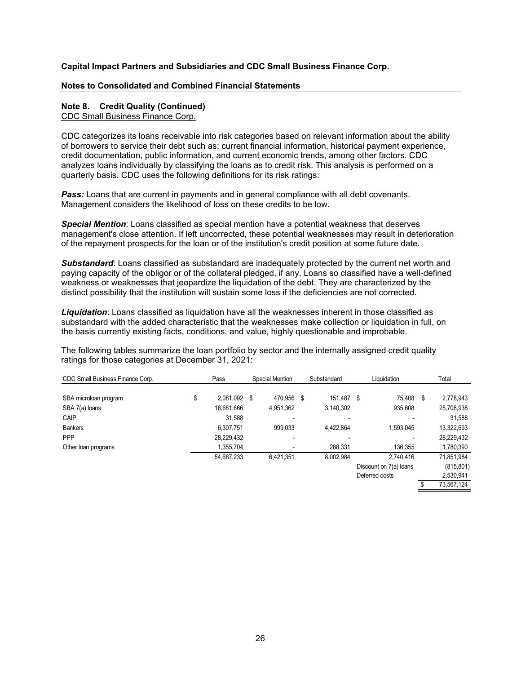#### **Notes to Consolidated and Combined Financial Statements**

#### **Note 8. Credit Quality (Continued)**

CDC Small Business Finance Corp.

CDC categorizes its loans receivable into risk categories based on relevant information about the ability of borrowers to service their debt such as: current financial information, historical payment experience, credit documentation, public information, and current economic trends, among other factors. CDC analyzes loans individually by classifying the loans as to credit risk. This analysis is performed on a quarterly basis. CDC uses the following definitions for its risk ratings:

**Pass:** Loans that are current in payments and in general compliance with all debt covenants. Management considers the likelihood of loss on these credits to be low.

*Special Mention*: Loans classified as special mention have a potential weakness that deserves management's close attention. If left uncorrected, these potential weaknesses may result in deterioration of the repayment prospects for the loan or of the institution's credit position at some future date.

*Substandard*: Loans classified as substandard are inadequately protected by the current net worth and paying capacity of the obligor or of the collateral pledged, if any. Loans so classified have a well-defined weakness or weaknesses that jeopardize the liquidation of the debt. They are characterized by the distinct possibility that the institution will sustain some loss if the deficiencies are not corrected.

*Liquidation*: Loans classified as liquidation have all the weaknesses inherent in those classified as substandard with the added characteristic that the weaknesses make collection or liquidation in full, on the basis currently existing facts, conditions, and value, highly questionable and improbable.

The following tables summarize the loan portfolio by sector and the internally assigned credit quality ratings for those categories at December 31, 2021:

| CDC Small Business Finance Corp. | Pass               | <b>Special Mention</b>   | Substandard | Liguidation            | Total           |
|----------------------------------|--------------------|--------------------------|-------------|------------------------|-----------------|
|                                  |                    |                          |             |                        |                 |
| SBA microloan program            | \$<br>2,081,092 \$ | 470.956 \$               | 151.487 \$  | 75,408                 | \$<br>2,778,943 |
| SBA 7(a) loans                   | 16,681,666         | 4,951,362                | 3,140,302   | 935,608                | 25,708,938      |
| CAIP                             | 31.588             | $\overline{\phantom{0}}$ | ۰           |                        | 31,588          |
| <b>Bankers</b>                   | 6,307,751          | 999,033                  | 4,422,864   | 1,593,045              | 13,322,693      |
| PPP                              | 28,229,432         | $\blacksquare$           |             |                        | 28,229,432      |
| Other loan programs              | 1,355,704          | $\blacksquare$           | 288.331     | 136,355                | 1,780,390       |
|                                  | 54,687,233         | 6,421,351                | 8,002,984   | 2.740.416              | 71,851,984      |
|                                  |                    |                          |             | Discount on 7(a) loans | (815, 801)      |
|                                  |                    |                          |             | Deferred costs         | 2,530,941       |
|                                  |                    |                          |             |                        | 73,567,124      |
|                                  |                    |                          |             |                        |                 |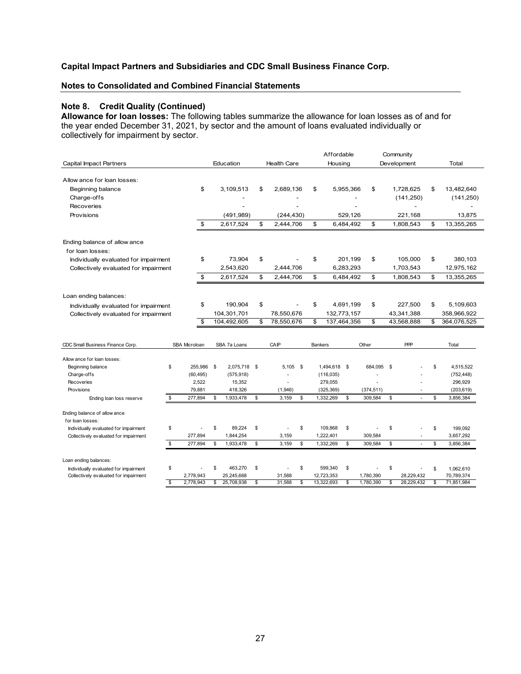## **Notes to Consolidated and Combined Financial Statements**

## **Note 8. Credit Quality (Continued)**

**Allowance for loan losses:** The following tables summarize the allowance for loan losses as of and for the year ended December 31, 2021, by sector and the amount of loans evaluated individually or collectively for impairment by sector.

|                                       |                      |                    |                    | Affordable        |           |            | Community       |                   |
|---------------------------------------|----------------------|--------------------|--------------------|-------------------|-----------|------------|-----------------|-------------------|
| <b>Capital Impact Partners</b>        |                      | Education          | <b>Health Care</b> | Housing           |           |            | Development     | Total             |
|                                       |                      |                    |                    |                   |           |            |                 |                   |
| Allow ance for loan losses:           |                      |                    |                    |                   |           |            |                 |                   |
| Beginning balance                     | \$                   | 3,109,513          | \$<br>2,689,136    | \$                | 5,955,366 | \$         | 1,728,625       | \$<br>13,482,640  |
| Charge-offs                           |                      |                    |                    |                   |           |            | (141, 250)      | (141, 250)        |
| <b>Recoveries</b>                     |                      |                    |                    |                   |           |            |                 |                   |
| Provisions                            |                      | (491, 989)         | (244, 430)         |                   | 529,126   |            | 221,168         | 13,875            |
|                                       | \$                   | 2,617,524          | \$<br>2,444,706    | \$                | 6,484,492 | \$         | 1,808,543       | \$<br>13,355,265  |
| Ending balance of allow ance          |                      |                    |                    |                   |           |            |                 |                   |
| for loan losses:                      |                      |                    |                    |                   |           |            |                 |                   |
| Individually evaluated for impairment | \$                   | 73,904             | \$                 | \$                | 201,199   | \$         | 105,000         | \$<br>380,103     |
| Collectively evaluated for impairment |                      | 2,543,620          | 2,444,706          |                   | 6,283,293 |            | 1,703,543       | 12,975,162        |
|                                       | \$                   | 2,617,524          | \$<br>2,444,706    | \$                | 6,484,492 | \$         | 1,808,543       | \$<br>13,355,265  |
|                                       |                      |                    |                    |                   |           |            |                 |                   |
| Loan ending balances:                 |                      |                    |                    |                   |           |            |                 |                   |
| Individually evaluated for impairment | \$                   | 190,904            | \$                 | \$                | 4,691,199 | \$         | 227,500         | \$<br>5,109,603   |
| Collectively evaluated for impairment |                      | 104,301,701        | 78,550,676         | 132,773,157       |           |            | 43,341,388      | 358,966,922       |
|                                       | \$                   | 104,492,605        | \$<br>78,550,676   | \$<br>137,464,356 |           | \$         | 43,568,888      | \$<br>364,076,525 |
|                                       |                      |                    |                    |                   |           |            |                 |                   |
| CDC Small Business Finance Corp.      | <b>SBA Microloan</b> | SBA 7a Loans       | CAIP               | <b>Bankers</b>    |           | Other      | PPP             | Total             |
| Allow ance for loan losses:           |                      |                    |                    |                   |           |            |                 |                   |
| Beginning balance                     | \$<br>255,986        | \$<br>2,075,718 \$ | $5,105$ \$         | 1,494,618 \$      |           | 684,095 \$ |                 | \$<br>4,515,522   |
| Charge-offs                           | (60, 495)            | (575, 918)         |                    | (116, 035)        |           |            |                 | (752, 448)        |
| Recoveries                            | 2,522                | 15,352             |                    | 279,055           |           |            |                 | 296,929           |
| Provisions                            | 79,881               | 418,326            | (1,946)            | (325, 369)        |           | (374, 511) |                 | (203, 619)        |
| Ending loan loss reserve              | \$<br>277,894        | \$<br>1,933,478    | \$<br>3,159<br>\$  | 1,332,269         | \$        | 309,584    | \$              | \$<br>3,856,384   |
| Ending balance of allow ance          |                      |                    |                    |                   |           |            |                 |                   |
| for loan losses:                      |                      |                    |                    |                   |           |            |                 |                   |
| Individually evaluated for impairment | \$                   | \$<br>89.224       | \$<br>\$           | 109,868           | \$        |            | \$              | \$<br>199,092     |
| Collectively evaluated for impairment | 277,894              | 1,844,254          | 3,159              | 1,222,401         |           | 309,584    |                 | 3,657,292         |
|                                       | \$<br>277,894        | \$<br>1,933,478    | \$<br>3,159<br>\$  | 1,332,269         | \$        | 309,584    | \$<br>÷,        | \$<br>3,856,384   |
| Loan ending balances:                 |                      |                    |                    |                   |           |            |                 |                   |
| Individually evaluated for impairment | \$                   | \$<br>463,270      | \$<br>\$           | 599,340           | \$        |            | \$              | \$<br>1,062,610   |
| Collectively evaluated for impairment | 2,778,943            | 25,245,668         | 31,588             | 12,723,353        |           | 1,780,390  | 28,229,432      | 70,789,374        |
|                                       | \$<br>2,778,943      | \$<br>25,708,938   | \$<br>31,588<br>\$ | 13,322,693        | \$        | 1,780,390  | 28,229,432<br>S | \$<br>71,851,984  |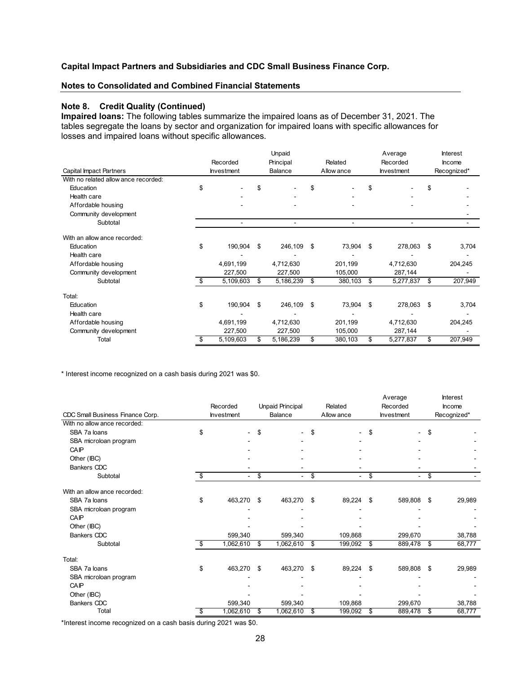#### **Notes to Consolidated and Combined Financial Statements**

#### **Note 8. Credit Quality (Continued)**

**Impaired loans:** The following tables summarize the impaired loans as of December 31, 2021. The tables segregate the loans by sector and organization for impaired loans with specific allowances for losses and impaired loans without specific allowances.

|                                      |      |                   | Unpaid          |                | Average           | <b>Interest</b> |
|--------------------------------------|------|-------------------|-----------------|----------------|-------------------|-----------------|
|                                      |      | Recorded          | Principal       | Related        | Recorded          | Income          |
| Capital Impact Partners              |      | <b>Investment</b> | Balance         | Allow ance     | <b>Investment</b> | Recognized*     |
| With no related allow ance recorded: |      |                   |                 |                |                   |                 |
| Education                            | \$   |                   | \$              | \$             |                   | \$              |
| Health care                          |      |                   |                 |                |                   |                 |
| Affordable housing                   |      |                   |                 |                |                   |                 |
| Community development                |      |                   |                 |                |                   |                 |
| Subtotal                             |      | ۰                 |                 | $\blacksquare$ |                   |                 |
| With an allow ance recorded:         |      |                   |                 |                |                   |                 |
| Education                            | \$   | 190,904           | \$<br>246,109   | \$<br>73,904   | \$<br>278,063     | \$<br>3,704     |
| Health care                          |      |                   |                 |                |                   |                 |
| Affordable housing                   |      | 4,691,199         | 4,712,630       | 201,199        | 4,712,630         | 204,245         |
| Community development                |      | 227,500           | 227,500         | 105,000        | 287,144           |                 |
| Subtotal                             | - \$ | 5,109,603         | \$<br>5,186,239 | \$<br>380,103  | \$<br>5,277,837   | \$<br>207,949   |
| Total:                               |      |                   |                 |                |                   |                 |
| Education                            | \$   | 190,904           | \$<br>246,109   | \$<br>73,904   | \$<br>278,063     | \$<br>3,704     |
| Health care                          |      |                   |                 |                |                   |                 |
| Affordable housing                   |      | 4,691,199         | 4,712,630       | 201,199        | 4,712,630         | 204,245         |
| Community development                |      | 227,500           | 227,500         | 105,000        | 287,144           |                 |
| Total                                | \$   | 5,109,603         | \$<br>5,186,239 | \$<br>380,103  | \$<br>5,277,837   | \$<br>207,949   |

\* Interest income recognized on a cash basis during 2021 was \$0.

|                                  | Unpaid Principal<br>Recorded |    | Related        |    | Average<br>Recorded |                   | <b>Interest</b><br>Income |                |             |
|----------------------------------|------------------------------|----|----------------|----|---------------------|-------------------|---------------------------|----------------|-------------|
| CDC Small Business Finance Corp. | Investment                   |    | Balance        |    | Allow ance          | <b>Investment</b> |                           |                | Recognized* |
| With no allow ance recorded:     |                              |    |                |    |                     |                   |                           |                |             |
| SBA 7a loans                     | \$<br>۰                      | \$ | ٠              | \$ |                     | \$                |                           | \$             |             |
| SBA microloan program            |                              |    |                |    |                     |                   |                           |                |             |
| CAIP                             |                              |    |                |    |                     |                   |                           |                |             |
| Other (IBC)                      |                              |    |                |    |                     |                   |                           |                |             |
| <b>Bankers CDC</b>               |                              |    |                |    |                     |                   |                           |                |             |
| Subtotal                         | \$<br>۰                      | \$ | $\blacksquare$ | \$ | ۰                   | \$                | $\sim$                    | \$             |             |
| With an allow ance recorded:     |                              |    |                |    |                     |                   |                           |                |             |
| SBA 7a loans                     | \$<br>463,270                | \$ | 463,270        | \$ | 89,224              | \$                | 589,808                   | $\mathfrak{s}$ | 29,989      |
| SBA microloan program            |                              |    |                |    |                     |                   |                           |                |             |
| CAIP                             |                              |    |                |    |                     |                   |                           |                |             |
| Other (IBC)                      |                              |    |                |    |                     |                   |                           |                |             |
| <b>Bankers CDC</b>               | 599,340                      |    | 599,340        |    | 109,868             |                   | 299,670                   |                | 38,788      |
| Subtotal                         | \$<br>1,062,610              | \$ | 1,062,610      | \$ | 199,092             | \$                | 889,478                   | - \$           | 68,777      |
| Total:                           |                              |    |                |    |                     |                   |                           |                |             |
| SBA 7a loans                     | \$<br>463,270                | \$ | 463,270        | \$ | 89,224              | \$                | 589,808                   | - \$           | 29,989      |
| SBA microloan program            |                              |    |                |    |                     |                   |                           |                |             |
| CAIP                             |                              |    |                |    |                     |                   |                           |                |             |
| Other (IBC)                      |                              |    |                |    |                     |                   |                           |                |             |
| <b>Bankers CDC</b>               | 599,340                      |    | 599,340        |    | 109,868             |                   | 299,670                   |                | 38,788      |
| Total                            | \$<br>1,062,610              | \$ | 1,062,610      | \$ | 199,092             | \$                | 889,478                   | \$             | 68,777      |

\*Interest income recognized on a cash basis during 2021 was \$0.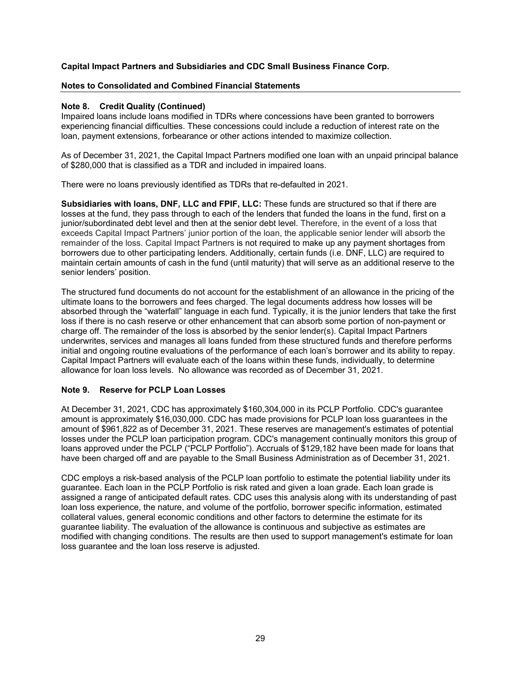## **Notes to Consolidated and Combined Financial Statements**

## **Note 8. Credit Quality (Continued)**

Impaired loans include loans modified in TDRs where concessions have been granted to borrowers experiencing financial difficulties. These concessions could include a reduction of interest rate on the loan, payment extensions, forbearance or other actions intended to maximize collection.

As of December 31, 2021, the Capital Impact Partners modified one loan with an unpaid principal balance of \$280,000 that is classified as a TDR and included in impaired loans.

There were no loans previously identified as TDRs that re-defaulted in 2021.

**Subsidiaries with loans, DNF, LLC and FPIF, LLC:** These funds are structured so that if there are losses at the fund, they pass through to each of the lenders that funded the loans in the fund, first on a junior/subordinated debt level and then at the senior debt level. Therefore, in the event of a loss that exceeds Capital Impact Partners' junior portion of the loan, the applicable senior lender will absorb the remainder of the loss. Capital Impact Partners is not required to make up any payment shortages from borrowers due to other participating lenders. Additionally, certain funds (i.e. DNF, LLC) are required to maintain certain amounts of cash in the fund (until maturity) that will serve as an additional reserve to the senior lenders' position.

The structured fund documents do not account for the establishment of an allowance in the pricing of the ultimate loans to the borrowers and fees charged. The legal documents address how losses will be absorbed through the "waterfall" language in each fund. Typically, it is the junior lenders that take the first loss if there is no cash reserve or other enhancement that can absorb some portion of non-payment or charge off. The remainder of the loss is absorbed by the senior lender(s). Capital Impact Partners underwrites, services and manages all loans funded from these structured funds and therefore performs initial and ongoing routine evaluations of the performance of each loan's borrower and its ability to repay. Capital Impact Partners will evaluate each of the loans within these funds, individually, to determine allowance for loan loss levels. No allowance was recorded as of December 31, 2021.

## **Note 9. Reserve for PCLP Loan Losses**

At December 31, 2021, CDC has approximately \$160,304,000 in its PCLP Portfolio. CDC's guarantee amount is approximately \$16,030,000. CDC has made provisions for PCLP loan loss guarantees in the amount of \$961,822 as of December 31, 2021. These reserves are management's estimates of potential losses under the PCLP loan participation program. CDC's management continually monitors this group of loans approved under the PCLP ("PCLP Portfolio"). Accruals of \$129,182 have been made for loans that have been charged off and are payable to the Small Business Administration as of December 31, 2021.

CDC employs a risk-based analysis of the PCLP loan portfolio to estimate the potential liability under its guarantee. Each loan in the PCLP Portfolio is risk rated and given a loan grade. Each loan grade is assigned a range of anticipated default rates. CDC uses this analysis along with its understanding of past loan loss experience, the nature, and volume of the portfolio, borrower specific information, estimated collateral values, general economic conditions and other factors to determine the estimate for its guarantee liability. The evaluation of the allowance is continuous and subjective as estimates are modified with changing conditions. The results are then used to support management's estimate for loan loss guarantee and the loan loss reserve is adjusted.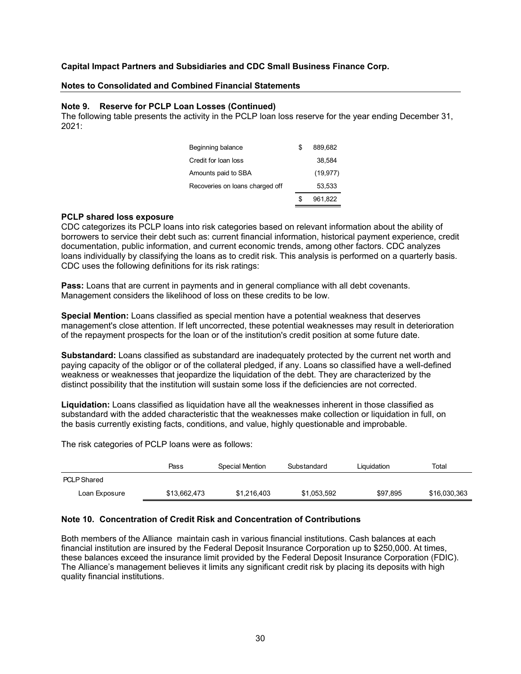#### **Notes to Consolidated and Combined Financial Statements**

#### **Note 9. Reserve for PCLP Loan Losses (Continued)**

The following table presents the activity in the PCLP loan loss reserve for the year ending December 31, 2021:

| Beginning balance               | £. | 889.682   |
|---------------------------------|----|-----------|
| Credit for loan loss            |    | 38.584    |
| Amounts paid to SBA             |    | (19, 977) |
| Recoveries on loans charged off |    | 53.533    |
|                                 | S. | 961,822   |

#### **PCLP shared loss exposure**

CDC categorizes its PCLP loans into risk categories based on relevant information about the ability of borrowers to service their debt such as: current financial information, historical payment experience, credit documentation, public information, and current economic trends, among other factors. CDC analyzes loans individually by classifying the loans as to credit risk. This analysis is performed on a quarterly basis. CDC uses the following definitions for its risk ratings:

**Pass:** Loans that are current in payments and in general compliance with all debt covenants. Management considers the likelihood of loss on these credits to be low.

**Special Mention:** Loans classified as special mention have a potential weakness that deserves management's close attention. If left uncorrected, these potential weaknesses may result in deterioration of the repayment prospects for the loan or of the institution's credit position at some future date.

**Substandard:** Loans classified as substandard are inadequately protected by the current net worth and paying capacity of the obligor or of the collateral pledged, if any. Loans so classified have a well-defined weakness or weaknesses that jeopardize the liquidation of the debt. They are characterized by the distinct possibility that the institution will sustain some loss if the deficiencies are not corrected.

**Liquidation:** Loans classified as liquidation have all the weaknesses inherent in those classified as substandard with the added characteristic that the weaknesses make collection or liquidation in full, on the basis currently existing facts, conditions, and value, highly questionable and improbable.

The risk categories of PCLP loans were as follows:

|                    | Pass         | Special Mention | Substandard | Liquidation | Total        |
|--------------------|--------------|-----------------|-------------|-------------|--------------|
| <b>PCLP Shared</b> |              |                 |             |             |              |
| Loan Exposure      | \$13,662,473 | \$1,216,403     | \$1,053,592 | \$97,895    | \$16,030,363 |

## **Note 10. Concentration of Credit Risk and Concentration of Contributions**

Both members of the Alliance maintain cash in various financial institutions. Cash balances at each financial institution are insured by the Federal Deposit Insurance Corporation up to \$250,000. At times, these balances exceed the insurance limit provided by the Federal Deposit Insurance Corporation (FDIC). The Alliance's management believes it limits any significant credit risk by placing its deposits with high quality financial institutions.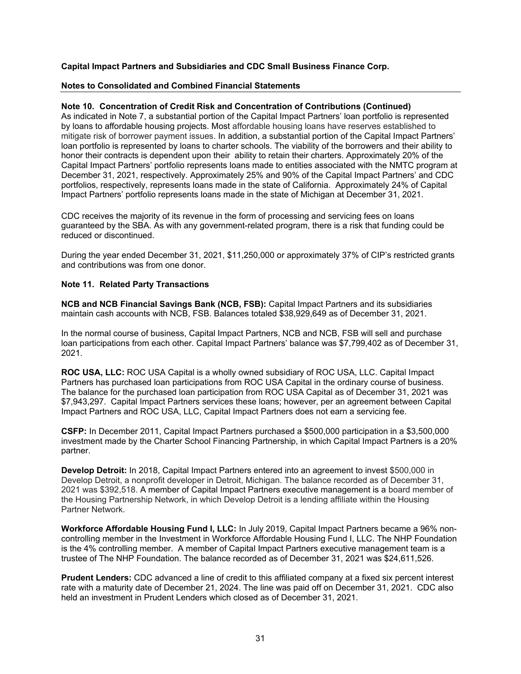#### **Notes to Consolidated and Combined Financial Statements**

## **Note 10. Concentration of Credit Risk and Concentration of Contributions (Continued)**

As indicated in Note 7, a substantial portion of the Capital Impact Partners' loan portfolio is represented by loans to affordable housing projects. Most affordable housing loans have reserves established to mitigate risk of borrower payment issues. In addition, a substantial portion of the Capital Impact Partners' loan portfolio is represented by loans to charter schools. The viability of the borrowers and their ability to honor their contracts is dependent upon their ability to retain their charters. Approximately 20% of the Capital Impact Partners' portfolio represents loans made to entities associated with the NMTC program at December 31, 2021, respectively. Approximately 25% and 90% of the Capital Impact Partners' and CDC portfolios, respectively, represents loans made in the state of California. Approximately 24% of Capital Impact Partners' portfolio represents loans made in the state of Michigan at December 31, 2021.

CDC receives the majority of its revenue in the form of processing and servicing fees on loans guaranteed by the SBA. As with any government-related program, there is a risk that funding could be reduced or discontinued.

During the year ended December 31, 2021, \$11,250,000 or approximately 37% of CIP's restricted grants and contributions was from one donor.

## **Note 11. Related Party Transactions**

**NCB and NCB Financial Savings Bank (NCB, FSB):** Capital Impact Partners and its subsidiaries maintain cash accounts with NCB, FSB. Balances totaled \$38,929,649 as of December 31, 2021.

In the normal course of business, Capital Impact Partners, NCB and NCB, FSB will sell and purchase loan participations from each other. Capital Impact Partners' balance was \$7,799,402 as of December 31, 2021.

**ROC USA, LLC:** ROC USA Capital is a wholly owned subsidiary of ROC USA, LLC. Capital Impact Partners has purchased loan participations from ROC USA Capital in the ordinary course of business. The balance for the purchased loan participation from ROC USA Capital as of December 31, 2021 was \$7,943,297. Capital Impact Partners services these loans; however, per an agreement between Capital Impact Partners and ROC USA, LLC, Capital Impact Partners does not earn a servicing fee.

**CSFP:** In December 2011, Capital Impact Partners purchased a \$500,000 participation in a \$3,500,000 investment made by the Charter School Financing Partnership, in which Capital Impact Partners is a 20% partner.

**Develop Detroit:** In 2018, Capital Impact Partners entered into an agreement to invest \$500,000 in Develop Detroit, a nonprofit developer in Detroit, Michigan. The balance recorded as of December 31, 2021 was \$392,518. A member of Capital Impact Partners executive management is a board member of the Housing Partnership Network, in which Develop Detroit is a lending affiliate within the Housing Partner Network.

**Workforce Affordable Housing Fund I, LLC:** In July 2019, Capital Impact Partners became a 96% noncontrolling member in the Investment in Workforce Affordable Housing Fund I, LLC. The NHP Foundation is the 4% controlling member. A member of Capital Impact Partners executive management team is a trustee of The NHP Foundation. The balance recorded as of December 31, 2021 was \$24,611,526.

**Prudent Lenders:** CDC advanced a line of credit to this affiliated company at a fixed six percent interest rate with a maturity date of December 21, 2024. The line was paid off on December 31, 2021. CDC also held an investment in Prudent Lenders which closed as of December 31, 2021.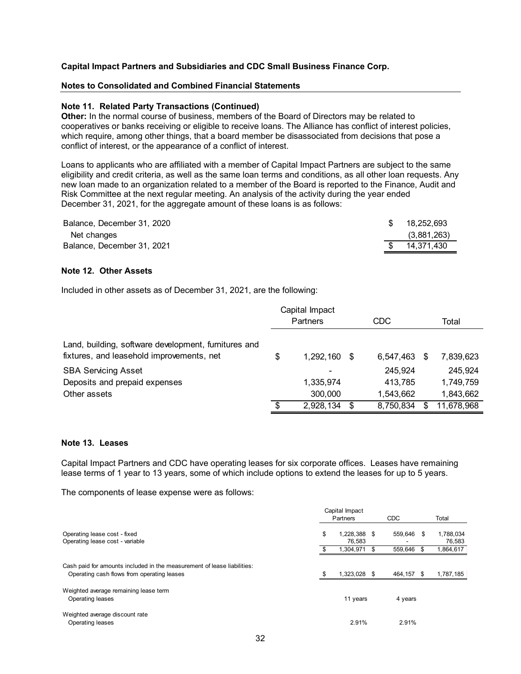#### **Notes to Consolidated and Combined Financial Statements**

#### **Note 11. Related Party Transactions (Continued)**

**Other:** In the normal course of business, members of the Board of Directors may be related to cooperatives or banks receiving or eligible to receive loans. The Alliance has conflict of interest policies, which require, among other things, that a board member be disassociated from decisions that pose a conflict of interest, or the appearance of a conflict of interest.

Loans to applicants who are affiliated with a member of Capital Impact Partners are subject to the same eligibility and credit criteria, as well as the same loan terms and conditions, as all other loan requests. Any new loan made to an organization related to a member of the Board is reported to the Finance, Audit and Risk Committee at the next regular meeting. An analysis of the activity during the year ended December 31, 2021, for the aggregate amount of these loans is as follows:

| Balance. December 31, 2020 | -SS | 18.252.693  |
|----------------------------|-----|-------------|
| Net changes                |     | (3,881,263) |
| Balance, December 31, 2021 |     | 14.371.430  |

#### **Note 12. Other Assets**

Included in other assets as of December 31, 2021, are the following:

|                                                                                                   |          | Capital Impact |     |            |   |            |
|---------------------------------------------------------------------------------------------------|----------|----------------|-----|------------|---|------------|
|                                                                                                   | Partners |                |     | <b>CDC</b> |   | Total      |
| Land, building, software development, furnitures and<br>fixtures, and leasehold improvements, net | \$       | 1,292,160      | -S  | 6,547,463  | S | 7,839,623  |
| <b>SBA Servicing Asset</b>                                                                        |          | -              |     | 245,924    |   | 245,924    |
| Deposits and prepaid expenses                                                                     |          | 1,335,974      |     | 413.785    |   | 1,749,759  |
| Other assets                                                                                      |          | 300,000        |     | 1,543,662  |   | 1,843,662  |
|                                                                                                   | \$.      | 2,928,134      | \$. | 8,750,834  |   | 11,678,968 |

#### **Note 13. Leases**

Capital Impact Partners and CDC have operating leases for six corporate offices. Leases have remaining lease terms of 1 year to 13 years, some of which include options to extend the leases for up to 5 years.

The components of lease expense were as follows:

|                                                                                                                       |     | Capital Impact         |    |            |    |                     |
|-----------------------------------------------------------------------------------------------------------------------|-----|------------------------|----|------------|----|---------------------|
|                                                                                                                       |     | Partners               |    | <b>CDC</b> |    | Total               |
| Operating lease cost - fixed<br>Operating lease cost - variable                                                       | \$  | 1,228,388 \$<br>76.583 |    | 559.646 \$ |    | 1,788,034<br>76,583 |
|                                                                                                                       |     | 1.304.971              | £. | 559.646    | -S | 1,864,617           |
| Cash paid for amounts included in the measurement of lease liabilities:<br>Operating cash flows from operating leases | \$. | 1,323,028 \$           |    | 464,157 \$ |    | 1,787,185           |
| Weighted average remaining lease term<br>Operating leases                                                             |     | 11 years               |    | 4 years    |    |                     |
| Weighted average discount rate<br>Operating leases                                                                    |     | 2.91%                  |    | 2.91%      |    |                     |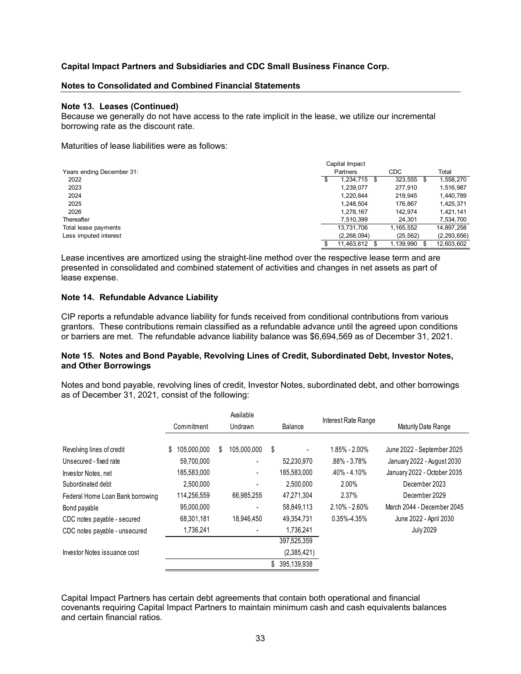#### **Notes to Consolidated and Combined Financial Statements**

#### **Note 13. Leases (Continued)**

Because we generally do not have access to the rate implicit in the lease, we utilize our incremental borrowing rate as the discount rate.

Maturities of lease liabilities were as follows:

|                           | Capital Impact |                  |              |               |
|---------------------------|----------------|------------------|--------------|---------------|
| Years ending December 31: |                | Partners         | <b>CDC</b>   | Total         |
| 2022                      | \$             | 1.234.715 \$     | 323,555<br>S | 1,558,270     |
| 2023                      |                | 1,239,077        | 277.910      | 1,516,987     |
| 2024                      |                | 1.220.844        | 219.945      | 1,440,789     |
| 2025                      |                | 1,248,504        | 176.867      | 1,425,371     |
| 2026                      |                | 1.278.167        | 142.974      | 1,421,141     |
| Thereafter                |                | 7.510.399        | 24.301       | 7,534,700     |
| Total lease payments      |                | 13.731.706       | l.165.552    | 14,897,258    |
| Less imputed interest     |                | (2,268,094)      | (25.562)     | (2, 293, 656) |
|                           |                | 11,463,612<br>-S | ,139,990     | 12,603,602    |

Lease incentives are amortized using the straight-line method over the respective lease term and are presented in consolidated and combined statement of activities and changes in net assets as part of lease expense.

#### **Note 14. Refundable Advance Liability**

CIP reports a refundable advance liability for funds received from conditional contributions from various grantors. These contributions remain classified as a refundable advance until the agreed upon conditions or barriers are met. The refundable advance liability balance was \$6,694,569 as of December 31, 2021.

## **Note 15. Notes and Bond Payable, Revolving Lines of Credit, Subordinated Debt, Investor Notes, and Other Borrowings**

Notes and bond payable, revolving lines of credit, Investor Notes, subordinated debt, and other borrowings as of December 31, 2021, consist of the following:

|                                  | Available<br>Commitment<br>Undrawn |   |             | Interest Rate Range |                |                   |                             |
|----------------------------------|------------------------------------|---|-------------|---------------------|----------------|-------------------|-----------------------------|
|                                  |                                    |   |             |                     | Balance        |                   | Maturity Date Range         |
|                                  |                                    |   |             |                     |                |                   |                             |
| Revolving lines of credit        | 105,000,000<br>S.                  | S | 105,000,000 | \$                  | $\blacksquare$ | 1.85% - 2.00%     | June 2022 - September 2025  |
| Unsecured - fixed rate           | 59,700,000                         |   |             |                     | 52,230,970     | $.88\% - 3.78\%$  | January 2022 - August 2030  |
| Investor Notes, net              | 185,583,000                        |   |             |                     | 185.583.000    | $.40\% - .410\%$  | January 2022 - October 2035 |
| Subordinated debt                | 2.500.000                          |   |             |                     | 2.500.000      | 2.00%             | December 2023               |
| Federal Home Loan Bank borrowing | 114,256,559                        |   | 66,985,255  |                     | 47,271,304     | 2.37%             | December 2029               |
| Bond payable                     | 95,000,000                         |   |             |                     | 58,849,113     | $2.10\% - 2.60\%$ | March 2044 - December 2045  |
| CDC notes payable - secured      | 68,301,181                         |   | 18,946,450  |                     | 49,354,731     | 0.35%-4.35%       | June 2022 - April 2030      |
| CDC notes payable - unsecured    | 1,736,241                          |   |             |                     | 1,736,241      |                   | <b>July 2029</b>            |
|                                  |                                    |   |             |                     | 397,525,359    |                   |                             |
| Investor Notes issuance cost     |                                    |   |             |                     | (2,385,421)    |                   |                             |
|                                  |                                    |   |             | S.                  | 395.139.938    |                   |                             |

Capital Impact Partners has certain debt agreements that contain both operational and financial covenants requiring Capital Impact Partners to maintain minimum cash and cash equivalents balances and certain financial ratios.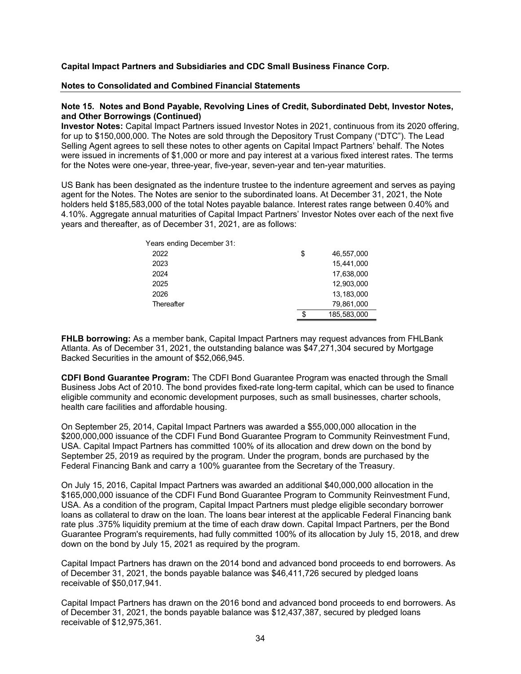#### **Notes to Consolidated and Combined Financial Statements**

#### **Note 15. Notes and Bond Payable, Revolving Lines of Credit, Subordinated Debt, Investor Notes, and Other Borrowings (Continued)**

**Investor Notes:** Capital Impact Partners issued Investor Notes in 2021, continuous from its 2020 offering, for up to \$150,000,000. The Notes are sold through the Depository Trust Company ("DTC"). The Lead Selling Agent agrees to sell these notes to other agents on Capital Impact Partners' behalf. The Notes were issued in increments of \$1,000 or more and pay interest at a various fixed interest rates. The terms for the Notes were one-year, three-year, five-year, seven-year and ten-year maturities.

US Bank has been designated as the indenture trustee to the indenture agreement and serves as paying agent for the Notes. The Notes are senior to the subordinated loans. At December 31, 2021, the Note holders held \$185,583,000 of the total Notes payable balance. Interest rates range between 0.40% and 4.10%. Aggregate annual maturities of Capital Impact Partners' Investor Notes over each of the next five years and thereafter, as of December 31, 2021, are as follows:

| Years ending December 31: |                   |
|---------------------------|-------------------|
| 2022                      | \$<br>46,557,000  |
| 2023                      | 15,441,000        |
| 2024                      | 17,638,000        |
| 2025                      | 12.903.000        |
| 2026                      | 13.183.000        |
| Thereafter                | 79,861,000        |
|                           | \$<br>185.583.000 |

**FHLB borrowing:** As a member bank, Capital Impact Partners may request advances from FHLBank Atlanta. As of December 31, 2021, the outstanding balance was \$47,271,304 secured by Mortgage Backed Securities in the amount of \$52,066,945.

**CDFI Bond Guarantee Program:** The CDFI Bond Guarantee Program was enacted through the Small Business Jobs Act of 2010. The bond provides fixed-rate long-term capital, which can be used to finance eligible community and economic development purposes, such as small businesses, charter schools, health care facilities and affordable housing.

On September 25, 2014, Capital Impact Partners was awarded a \$55,000,000 allocation in the \$200,000,000 issuance of the CDFI Fund Bond Guarantee Program to Community Reinvestment Fund, USA. Capital Impact Partners has committed 100% of its allocation and drew down on the bond by September 25, 2019 as required by the program. Under the program, bonds are purchased by the Federal Financing Bank and carry a 100% guarantee from the Secretary of the Treasury.

On July 15, 2016, Capital Impact Partners was awarded an additional \$40,000,000 allocation in the \$165,000,000 issuance of the CDFI Fund Bond Guarantee Program to Community Reinvestment Fund, USA. As a condition of the program, Capital Impact Partners must pledge eligible secondary borrower loans as collateral to draw on the loan. The loans bear interest at the applicable Federal Financing bank rate plus .375% liquidity premium at the time of each draw down. Capital Impact Partners, per the Bond Guarantee Program's requirements, had fully committed 100% of its allocation by July 15, 2018, and drew down on the bond by July 15, 2021 as required by the program.

Capital Impact Partners has drawn on the 2014 bond and advanced bond proceeds to end borrowers. As of December 31, 2021, the bonds payable balance was \$46,411,726 secured by pledged loans receivable of \$50,017,941.

Capital Impact Partners has drawn on the 2016 bond and advanced bond proceeds to end borrowers. As of December 31, 2021, the bonds payable balance was \$12,437,387, secured by pledged loans receivable of \$12,975,361.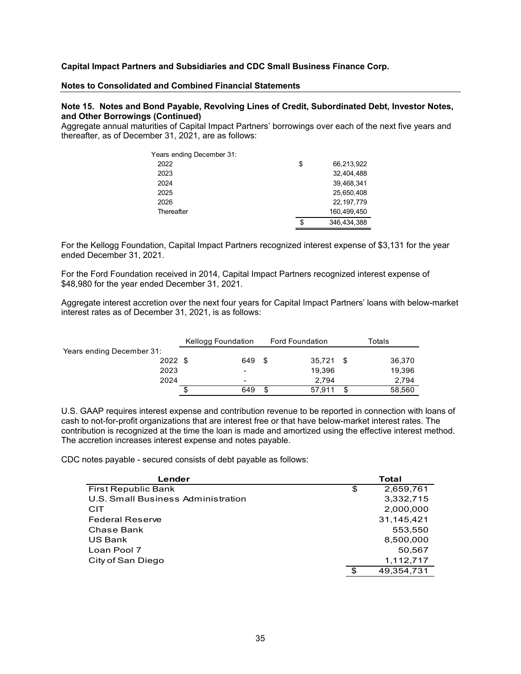#### **Notes to Consolidated and Combined Financial Statements**

#### **Note 15. Notes and Bond Payable, Revolving Lines of Credit, Subordinated Debt, Investor Notes, and Other Borrowings (Continued)**

Aggregate annual maturities of Capital Impact Partners' borrowings over each of the next five years and thereafter, as of December 31, 2021, are as follows:

| Years ending December 31: |                   |
|---------------------------|-------------------|
| 2022                      | \$<br>66,213,922  |
| 2023                      | 32.404.488        |
| 2024                      | 39.468.341        |
| 2025                      | 25.650.408        |
| 2026                      | 22.197.779        |
| Thereafter                | 160.499.450       |
|                           | \$<br>346,434,388 |

For the Kellogg Foundation, Capital Impact Partners recognized interest expense of \$3,131 for the year ended December 31, 2021.

For the Ford Foundation received in 2014, Capital Impact Partners recognized interest expense of \$48,980 for the year ended December 31, 2021.

Aggregate interest accretion over the next four years for Capital Impact Partners' loans with below-market interest rates as of December 31, 2021, is as follows:

|                           | Kellogg Foundation | <b>Ford Foundation</b> | Totals        |
|---------------------------|--------------------|------------------------|---------------|
| Years ending December 31: |                    |                        |               |
| $2022$ \$                 | 649                | 35,721<br>- \$         | 36,370<br>\$. |
| 2023                      | ۰                  | 19,396                 | 19,396        |
| 2024                      | $\blacksquare$     | 2.794                  | 2,794         |
|                           | 649                | 57.911<br>S            | 58,560<br>S   |

U.S. GAAP requires interest expense and contribution revenue to be reported in connection with loans of cash to not-for-profit organizations that are interest free or that have below-market interest rates. The contribution is recognized at the time the loan is made and amortized using the effective interest method. The accretion increases interest expense and notes payable.

CDC notes payable - secured consists of debt payable as follows:

| Lender                             |     | Total      |
|------------------------------------|-----|------------|
| <b>First Republic Bank</b>         | \$  | 2,659,761  |
| U.S. Small Business Administration |     | 3,332,715  |
| CIT                                |     | 2,000,000  |
| <b>Federal Reserve</b>             |     | 31,145,421 |
| Chase Bank                         |     | 553.550    |
| US Bank                            |     | 8,500,000  |
| Loan Pool 7                        |     | 50,567     |
| City of San Diego                  |     | 1,112,717  |
|                                    | \$. | 49,354,731 |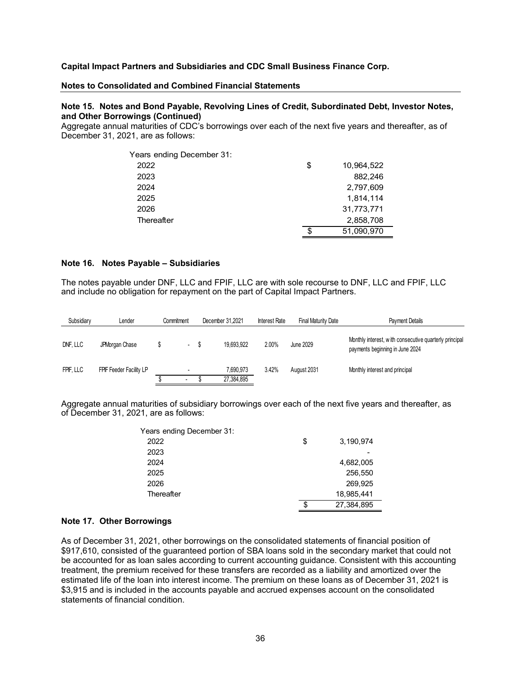#### **Notes to Consolidated and Combined Financial Statements**

#### **Note 15. Notes and Bond Payable, Revolving Lines of Credit, Subordinated Debt, Investor Notes, and Other Borrowings (Continued)**

Aggregate annual maturities of CDC's borrowings over each of the next five years and thereafter, as of December 31, 2021, are as follows:

| Years ending December 31: |                  |
|---------------------------|------------------|
| 2022                      | \$<br>10,964,522 |
| 2023                      | 882,246          |
| 2024                      | 2,797,609        |
| 2025                      | 1.814.114        |
| 2026                      | 31,773,771       |
| Thereafter                | 2,858,708        |
|                           | \$<br>51,090,970 |

#### **Note 16. Notes Payable – Subsidiaries**

The notes payable under DNF, LLC and FPIF, LLC are with sole recourse to DNF, LLC and FPIF, LLC and include no obligation for repayment on the part of Capital Impact Partners.

| Subsidiary | Lender                  | Commitment |                              |     | December 31.2021        | <b>Interest Rate</b> | <b>Final Maturity Date</b> | Payment Details                                                                           |
|------------|-------------------------|------------|------------------------------|-----|-------------------------|----------------------|----------------------------|-------------------------------------------------------------------------------------------|
| DNF, LLC   | JPMorgan Chase          |            | $\overline{\phantom{a}}$     | - S | 19.693.922              | 2.00%                | June 2029                  | Monthly interest, with consecutive quarterly principal<br>payments beginning in June 2024 |
| FPIF. LLC  | FPIF Feeder Facility LP |            | <br>$\overline{\phantom{a}}$ |     | 7,690,973<br>27,384,895 | 3.42%                | August 2031                | Monthly interest and principal                                                            |

Aggregate annual maturities of subsidiary borrowings over each of the next five years and thereafter, as of December 31, 2021, are as follows:

| Years ending December 31: |                 |
|---------------------------|-----------------|
| 2022                      | \$<br>3,190,974 |
| 2023                      |                 |
| 2024                      | 4,682,005       |
| 2025                      | 256,550         |
| 2026                      | 269.925         |
| Thereafter                | 18,985,441      |
|                           | 27,384,895      |
|                           |                 |

#### **Note 17. Other Borrowings**

As of December 31, 2021, other borrowings on the consolidated statements of financial position of \$917,610, consisted of the guaranteed portion of SBA loans sold in the secondary market that could not be accounted for as loan sales according to current accounting guidance. Consistent with this accounting treatment, the premium received for these transfers are recorded as a liability and amortized over the estimated life of the loan into interest income. The premium on these loans as of December 31, 2021 is \$3,915 and is included in the accounts payable and accrued expenses account on the consolidated statements of financial condition.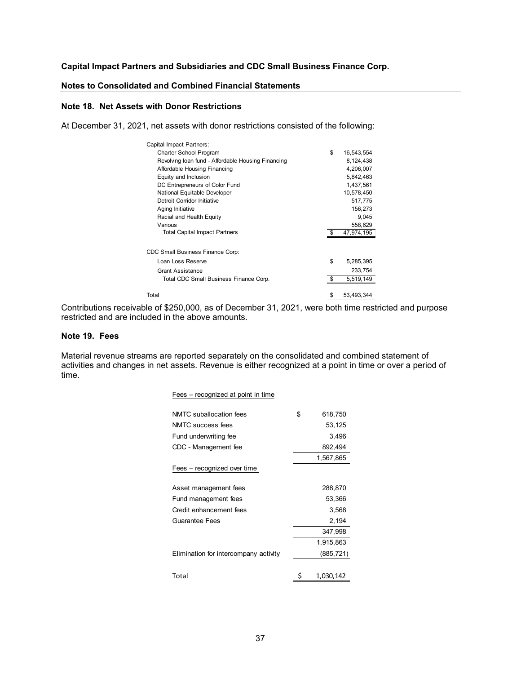#### **Notes to Consolidated and Combined Financial Statements**

#### **Note 18. Net Assets with Donor Restrictions**

At December 31, 2021, net assets with donor restrictions consisted of the following:

| Capital Impact Partners:                           |     |            |
|----------------------------------------------------|-----|------------|
| <b>Charter School Program</b>                      | \$  | 16,543,554 |
| Revolving loan fund - Affordable Housing Financing |     | 8,124,438  |
| Affordable Housing Financing                       |     | 4,206,007  |
| Equity and Inclusion                               |     | 5,842,463  |
| DC Entrepreneurs of Color Fund                     |     | 1,437,561  |
| National Equitable Developer                       |     | 10,578,450 |
| Detroit Corridor Initiative                        |     | 517,775    |
| Aging Initiative                                   |     | 156,273    |
| Racial and Health Equity                           |     | 9,045      |
| Various                                            |     | 558,629    |
| <b>Total Capital Impact Partners</b>               | \$. | 47,974,195 |
|                                                    |     |            |
| CDC Small Business Finance Corp:                   |     |            |
| Loan Loss Reserve                                  | \$  | 5,285,395  |
| <b>Grant Assistance</b>                            |     | 233,754    |
| Total CDC Small Business Finance Corp.             | \$  | 5,519,149  |
|                                                    |     |            |
| Total                                              | \$  | 53,493,344 |

Contributions receivable of \$250,000, as of December 31, 2021, were both time restricted and purpose restricted and are included in the above amounts.

#### **Note 19. Fees**

Material revenue streams are reported separately on the consolidated and combined statement of activities and changes in net assets. Revenue is either recognized at a point in time or over a period of time.

| Fees – recognized at point in time    |                 |
|---------------------------------------|-----------------|
| NMTC suballocation fees               | \$<br>618,750   |
| NMTC success fees                     | 53,125          |
| Fund underwriting fee                 | 3,496           |
| CDC - Management fee                  | 892,494         |
|                                       | 1,567,865       |
| Fees – recognized over time           |                 |
| Asset management fees                 | 288,870         |
| Fund management fees                  | 53,366          |
| Credit enhancement fees               | 3,568           |
| <b>Guarantee Fees</b>                 | 2,194           |
|                                       | 347,998         |
|                                       | 1,915,863       |
| Elimination for intercompany activity | (885, 721)      |
| Total                                 | \$<br>1,030,142 |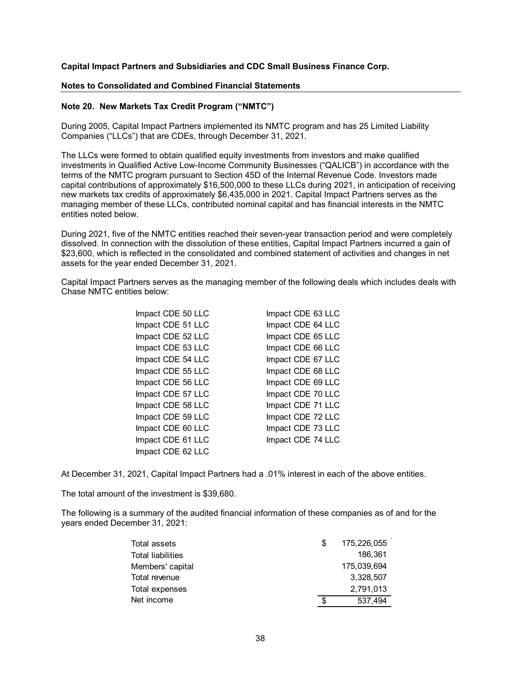#### **Notes to Consolidated and Combined Financial Statements**

#### **Note 20. New Markets Tax Credit Program ("NMTC")**

During 2005, Capital Impact Partners implemented its NMTC program and has 25 Limited Liability Companies ("LLCs") that are CDEs, through December 31, 2021.

The LLCs were formed to obtain qualified equity investments from investors and make qualified investments in Qualified Active Low-Income Community Businesses ("QALICB") in accordance with the terms of the NMTC program pursuant to Section 45D of the Internal Revenue Code. Investors made capital contributions of approximately \$16,500,000 to these LLCs during 2021, in anticipation of receiving new markets tax credits of approximately \$6,435,000 in 2021. Capital Impact Partners serves as the managing member of these LLCs, contributed nominal capital and has financial interests in the NMTC entities noted below.

During 2021, five of the NMTC entities reached their seven-year transaction period and were completely dissolved. In connection with the dissolution of these entities, Capital Impact Partners incurred a gain of \$23,600, which is reflected in the consolidated and combined statement of activities and changes in net assets for the year ended December 31, 2021.

Capital Impact Partners serves as the managing member of the following deals which includes deals with Chase NMTC entities below:

| Impact CDE 50 LLC | Impact CDE 63 LLC |
|-------------------|-------------------|
| Impact CDE 51 LLC | Impact CDE 64 LLC |
| Impact CDE 52 LLC | Impact CDE 65 LLC |
| Impact CDE 53 LLC | Impact CDE 66 LLC |
| Impact CDE 54 LLC | Impact CDE 67 LLC |
| Impact CDE 55 LLC | Impact CDE 68 LLC |
| Impact CDE 56 LLC | Impact CDE 69 LLC |
| Impact CDE 57 LLC | Impact CDE 70 LLC |
| Impact CDE 58 LLC | Impact CDE 71 LLC |
| Impact CDE 59 LLC | Impact CDE 72 LLC |
| Impact CDE 60 LLC | Impact CDE 73 LLC |
| Impact CDE 61 LLC | Impact CDE 74 LLC |
| Impact CDE 62 LLC |                   |

At December 31, 2021, Capital Impact Partners had a .01% interest in each of the above entities.

The total amount of the investment is \$39,680.

The following is a summary of the audited financial information of these companies as of and for the years ended December 31, 2021:

| Total assets             | S | 175,226,055 |
|--------------------------|---|-------------|
| <b>Total liabilities</b> |   | 186.361     |
| Members' capital         |   | 175,039,694 |
| Total revenue            |   | 3.328.507   |
| Total expenses           |   | 2,791,013   |
| Net income               | S | 537.494     |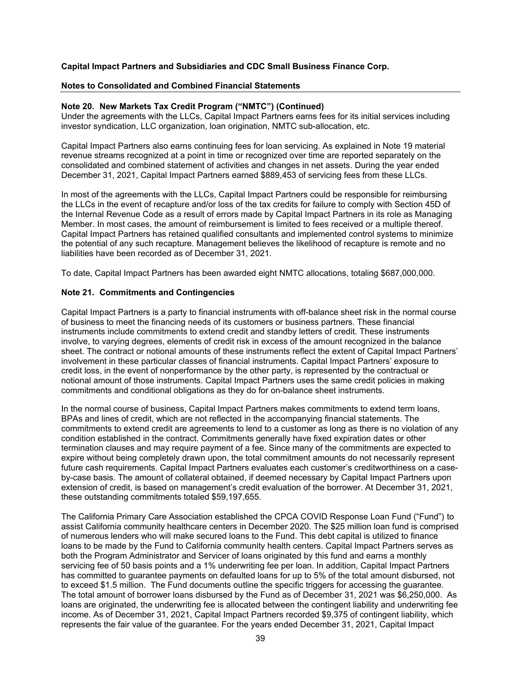#### **Notes to Consolidated and Combined Financial Statements**

#### **Note 20. New Markets Tax Credit Program ("NMTC") (Continued)**

Under the agreements with the LLCs, Capital Impact Partners earns fees for its initial services including investor syndication, LLC organization, loan origination, NMTC sub-allocation, etc.

Capital Impact Partners also earns continuing fees for loan servicing. As explained in Note 19 material revenue streams recognized at a point in time or recognized over time are reported separately on the consolidated and combined statement of activities and changes in net assets. During the year ended December 31, 2021, Capital Impact Partners earned \$889,453 of servicing fees from these LLCs.

In most of the agreements with the LLCs, Capital Impact Partners could be responsible for reimbursing the LLCs in the event of recapture and/or loss of the tax credits for failure to comply with Section 45D of the Internal Revenue Code as a result of errors made by Capital Impact Partners in its role as Managing Member. In most cases, the amount of reimbursement is limited to fees received or a multiple thereof. Capital Impact Partners has retained qualified consultants and implemented control systems to minimize the potential of any such recapture. Management believes the likelihood of recapture is remote and no liabilities have been recorded as of December 31, 2021.

To date, Capital Impact Partners has been awarded eight NMTC allocations, totaling \$687,000,000.

#### **Note 21. Commitments and Contingencies**

Capital Impact Partners is a party to financial instruments with off-balance sheet risk in the normal course of business to meet the financing needs of its customers or business partners. These financial instruments include commitments to extend credit and standby letters of credit. These instruments involve, to varying degrees, elements of credit risk in excess of the amount recognized in the balance sheet. The contract or notional amounts of these instruments reflect the extent of Capital Impact Partners' involvement in these particular classes of financial instruments. Capital Impact Partners' exposure to credit loss, in the event of nonperformance by the other party, is represented by the contractual or notional amount of those instruments. Capital Impact Partners uses the same credit policies in making commitments and conditional obligations as they do for on-balance sheet instruments.

In the normal course of business, Capital Impact Partners makes commitments to extend term loans, BPAs and lines of credit, which are not reflected in the accompanying financial statements. The commitments to extend credit are agreements to lend to a customer as long as there is no violation of any condition established in the contract. Commitments generally have fixed expiration dates or other termination clauses and may require payment of a fee. Since many of the commitments are expected to expire without being completely drawn upon, the total commitment amounts do not necessarily represent future cash requirements. Capital Impact Partners evaluates each customer's creditworthiness on a caseby-case basis. The amount of collateral obtained, if deemed necessary by Capital Impact Partners upon extension of credit, is based on management's credit evaluation of the borrower. At December 31, 2021, these outstanding commitments totaled \$59,197,655.

The California Primary Care Association established the CPCA COVID Response Loan Fund ("Fund") to assist California community healthcare centers in December 2020. The \$25 million loan fund is comprised of numerous lenders who will make secured loans to the Fund. This debt capital is utilized to finance loans to be made by the Fund to California community health centers. Capital Impact Partners serves as both the Program Administrator and Servicer of loans originated by this fund and earns a monthly servicing fee of 50 basis points and a 1% underwriting fee per loan. In addition, Capital Impact Partners has committed to guarantee payments on defaulted loans for up to 5% of the total amount disbursed, not to exceed \$1.5 million. The Fund documents outline the specific triggers for accessing the guarantee. The total amount of borrower loans disbursed by the Fund as of December 31, 2021 was \$6,250,000. As loans are originated, the underwriting fee is allocated between the contingent liability and underwriting fee income. As of December 31, 2021, Capital Impact Partners recorded \$9,375 of contingent liability, which represents the fair value of the guarantee. For the years ended December 31, 2021, Capital Impact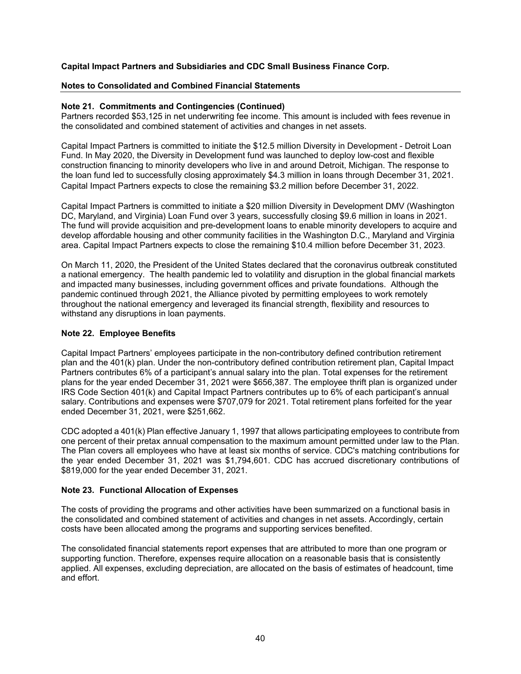## **Notes to Consolidated and Combined Financial Statements**

## **Note 21. Commitments and Contingencies (Continued)**

Partners recorded \$53,125 in net underwriting fee income. This amount is included with fees revenue in the consolidated and combined statement of activities and changes in net assets.

Capital Impact Partners is committed to initiate the \$12.5 million Diversity in Development - Detroit Loan Fund. In May 2020, the Diversity in Development fund was launched to deploy low-cost and flexible construction financing to minority developers who live in and around Detroit, Michigan. The response to the loan fund led to successfully closing approximately \$4.3 million in loans through December 31, 2021. Capital Impact Partners expects to close the remaining \$3.2 million before December 31, 2022.

Capital Impact Partners is committed to initiate a \$20 million Diversity in Development DMV (Washington DC, Maryland, and Virginia) Loan Fund over 3 years, successfully closing \$9.6 million in loans in 2021. The fund will provide acquisition and pre-development loans to enable minority developers to acquire and develop affordable housing and other community facilities in the Washington D.C., Maryland and Virginia area. Capital Impact Partners expects to close the remaining \$10.4 million before December 31, 2023.

On March 11, 2020, the President of the United States declared that the coronavirus outbreak constituted a national emergency. The health pandemic led to volatility and disruption in the global financial markets and impacted many businesses, including government offices and private foundations. Although the pandemic continued through 2021, the Alliance pivoted by permitting employees to work remotely throughout the national emergency and leveraged its financial strength, flexibility and resources to withstand any disruptions in loan payments.

## **Note 22. Employee Benefits**

Capital Impact Partners' employees participate in the non-contributory defined contribution retirement plan and the 401(k) plan. Under the non-contributory defined contribution retirement plan, Capital Impact Partners contributes 6% of a participant's annual salary into the plan. Total expenses for the retirement plans for the year ended December 31, 2021 were \$656,387. The employee thrift plan is organized under IRS Code Section 401(k) and Capital Impact Partners contributes up to 6% of each participant's annual salary. Contributions and expenses were \$707,079 for 2021. Total retirement plans forfeited for the year ended December 31, 2021, were \$251,662.

CDC adopted a 401(k) Plan effective January 1, 1997 that allows participating employees to contribute from one percent of their pretax annual compensation to the maximum amount permitted under law to the Plan. The Plan covers all employees who have at least six months of service. CDC's matching contributions for the year ended December 31, 2021 was \$1,794,601. CDC has accrued discretionary contributions of \$819,000 for the year ended December 31, 2021.

## **Note 23. Functional Allocation of Expenses**

The costs of providing the programs and other activities have been summarized on a functional basis in the consolidated and combined statement of activities and changes in net assets. Accordingly, certain costs have been allocated among the programs and supporting services benefited.

The consolidated financial statements report expenses that are attributed to more than one program or supporting function. Therefore, expenses require allocation on a reasonable basis that is consistently applied. All expenses, excluding depreciation, are allocated on the basis of estimates of headcount, time and effort.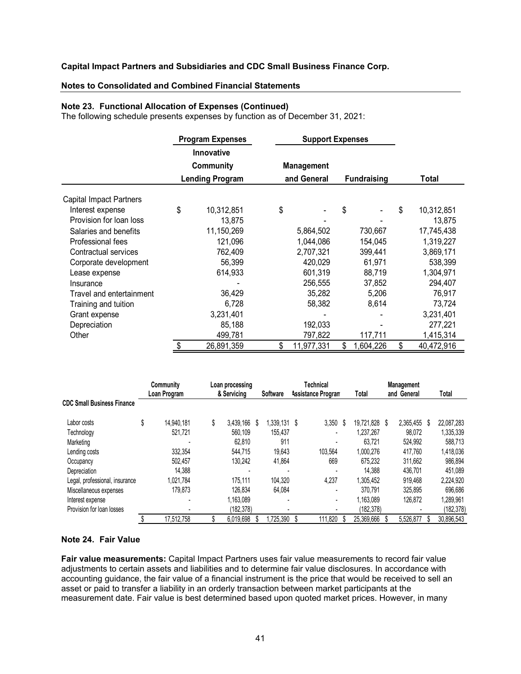#### **Notes to Consolidated and Combined Financial Statements**

#### **Note 23. Functional Allocation of Expenses (Continued)**

The following schedule presents expenses by function as of December 31, 2021:

|                                |                        | <b>Program Expenses</b> | <b>Support Expenses</b> |                    |    |            |
|--------------------------------|------------------------|-------------------------|-------------------------|--------------------|----|------------|
|                                |                        | <b>Innovative</b>       |                         |                    |    |            |
|                                |                        | <b>Community</b>        | <b>Management</b>       |                    |    |            |
|                                | <b>Lending Program</b> |                         | and General             | <b>Fundraising</b> |    | Total      |
| <b>Capital Impact Partners</b> |                        |                         |                         |                    |    |            |
| Interest expense               | \$                     | 10,312,851              | \$                      | \$                 | \$ | 10,312,851 |
| Provision for loan loss        |                        | 13,875                  |                         |                    |    | 13,875     |
| Salaries and benefits          |                        | 11,150,269              | 5,864,502               | 730,667            |    | 17,745,438 |
| Professional fees              |                        | 121,096                 | 1,044,086               | 154,045            |    | 1,319,227  |
| Contractual services           |                        | 762,409                 | 2,707,321               | 399,441            |    | 3,869,171  |
| Corporate development          |                        | 56,399                  | 420,029                 | 61,971             |    | 538,399    |
| Lease expense                  |                        | 614,933                 | 601,319                 | 88,719             |    | 1,304,971  |
| Insurance                      |                        |                         | 256,555                 | 37,852             |    | 294,407    |
| Travel and entertainment       |                        | 36,429                  | 35,282                  | 5,206              |    | 76,917     |
| Training and tuition           |                        | 6,728                   | 58,382                  | 8,614              |    | 73,724     |
| Grant expense                  |                        | 3,231,401               |                         |                    |    | 3,231,401  |
| Depreciation                   |                        | 85,188                  | 192,033                 |                    |    | 277,221    |
| Other                          |                        | 499,781                 | 797,822                 | 117,711            |    | 1,415,314  |
|                                | \$                     | 26,891,359              | \$<br>11,977,331        | \$<br>1,604,226    | S  | 40,472,916 |

|                                   | Community        | Loan processing |   | <b>Technical</b> |   |                           | <b>Management</b> |               |  |             |      |            |
|-----------------------------------|------------------|-----------------|---|------------------|---|---------------------------|-------------------|---------------|--|-------------|------|------------|
|                                   | Loan Program     | & Servicing     |   | Software         |   | <b>Assistance Program</b> |                   | Total         |  | and General |      | Total      |
| <b>CDC Small Business Finance</b> |                  |                 |   |                  |   |                           |                   |               |  |             |      |            |
| Labor costs                       | \$<br>14.940.181 | \$<br>3.439.166 | S | 1.339.131        | S | 3,350                     | S                 | 19.721.828 \$ |  | 2,365,455   | - \$ | 22,087,283 |
| Technology                        | 521.721          | 560.109         |   | 155.437          |   |                           |                   | 1.237.267     |  | 98,072      |      | 1,335,339  |
| Marketing                         |                  | 62.810          |   | 911              |   | $\blacksquare$            |                   | 63.721        |  | 524.992     |      | 588.713    |
| Lending costs                     | 332.354          | 544.715         |   | 19.643           |   | 103,564                   |                   | 1,000,276     |  | 417.760     |      | 1,418,036  |
| Occupancy                         | 502.457          | 130.242         |   | 41.864           |   | 669                       |                   | 675.232       |  | 311.662     |      | 986.894    |
| Depreciation                      | 14.388           |                 |   |                  |   |                           |                   | 14.388        |  | 436.701     |      | 451.089    |
| Legal, professional, insurance    | 1.021.784        | 175.111         |   | 104.320          |   | 4,237                     |                   | 1.305.452     |  | 919.468     |      | 2.224.920  |
| Miscellaneous expenses            | 179.873          | 126.834         |   | 64,084           |   | $\blacksquare$            |                   | 370.791       |  | 325.895     |      | 696.686    |
| Interest expense                  | ٠                | 1.163.089       |   |                  |   | $\blacksquare$            |                   | 1.163.089     |  | 126,872     |      | 1.289.961  |
| Provision for loan losses         |                  | (182,378)       |   |                  |   |                           |                   | (182,378)     |  |             |      | (182,378)  |
|                                   | 17.512.758       | 6.019.698       |   | .725.390         |   | 111.820                   |                   | 25.369.666    |  | 5.526.877   |      | 30.896.543 |

## **Note 24. Fair Value**

**Fair value measurements:** Capital Impact Partners uses fair value measurements to record fair value adjustments to certain assets and liabilities and to determine fair value disclosures. In accordance with accounting guidance, the fair value of a financial instrument is the price that would be received to sell an asset or paid to transfer a liability in an orderly transaction between market participants at the measurement date. Fair value is best determined based upon quoted market prices. However, in many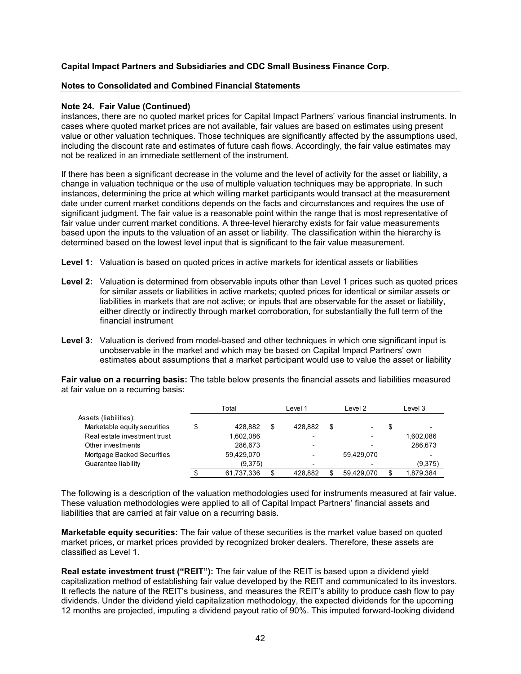#### **Notes to Consolidated and Combined Financial Statements**

#### **Note 24. Fair Value (Continued)**

instances, there are no quoted market prices for Capital Impact Partners' various financial instruments. In cases where quoted market prices are not available, fair values are based on estimates using present value or other valuation techniques. Those techniques are significantly affected by the assumptions used, including the discount rate and estimates of future cash flows. Accordingly, the fair value estimates may not be realized in an immediate settlement of the instrument.

If there has been a significant decrease in the volume and the level of activity for the asset or liability, a change in valuation technique or the use of multiple valuation techniques may be appropriate. In such instances, determining the price at which willing market participants would transact at the measurement date under current market conditions depends on the facts and circumstances and requires the use of significant judgment. The fair value is a reasonable point within the range that is most representative of fair value under current market conditions. A three-level hierarchy exists for fair value measurements based upon the inputs to the valuation of an asset or liability. The classification within the hierarchy is determined based on the lowest level input that is significant to the fair value measurement.

- **Level 1:** Valuation is based on quoted prices in active markets for identical assets or liabilities
- **Level 2:** Valuation is determined from observable inputs other than Level 1 prices such as quoted prices for similar assets or liabilities in active markets; quoted prices for identical or similar assets or liabilities in markets that are not active; or inputs that are observable for the asset or liability, either directly or indirectly through market corroboration, for substantially the full term of the financial instrument
- **Level 3:** Valuation is derived from model-based and other techniques in which one significant input is unobservable in the market and which may be based on Capital Impact Partners' own estimates about assumptions that a market participant would use to value the asset or liability

**Fair value on a recurring basis:** The table below presents the financial assets and liabilities measured at fair value on a recurring basis:

|                              | Total         | Level 1 |         |   | Level 2    | Level 3 |           |  |
|------------------------------|---------------|---------|---------|---|------------|---------|-----------|--|
| Assets (liabilities):        |               |         |         |   |            |         |           |  |
| Marketable equity securities | \$<br>428.882 | \$      | 428.882 | S |            | S       |           |  |
| Real estate investment trust | 1,602,086     |         |         |   |            |         | 1,602,086 |  |
| Other investments            | 286.673       |         |         |   |            |         | 286.673   |  |
| Mortgage Backed Securities   | 59,429,070    |         |         |   | 59.429.070 |         |           |  |
| Guarantee liability          | (9,375)       |         |         |   |            |         | (9,375)   |  |
|                              | 61,737,336    |         | 428.882 |   | 59.429.070 |         | 1,879,384 |  |

The following is a description of the valuation methodologies used for instruments measured at fair value. These valuation methodologies were applied to all of Capital Impact Partners' financial assets and liabilities that are carried at fair value on a recurring basis.

**Marketable equity securities:** The fair value of these securities is the market value based on quoted market prices, or market prices provided by recognized broker dealers. Therefore, these assets are classified as Level 1.

**Real estate investment trust ("REIT"):** The fair value of the REIT is based upon a dividend yield capitalization method of establishing fair value developed by the REIT and communicated to its investors. It reflects the nature of the REIT's business, and measures the REIT's ability to produce cash flow to pay dividends. Under the dividend yield capitalization methodology, the expected dividends for the upcoming 12 months are projected, imputing a dividend payout ratio of 90%. This imputed forward-looking dividend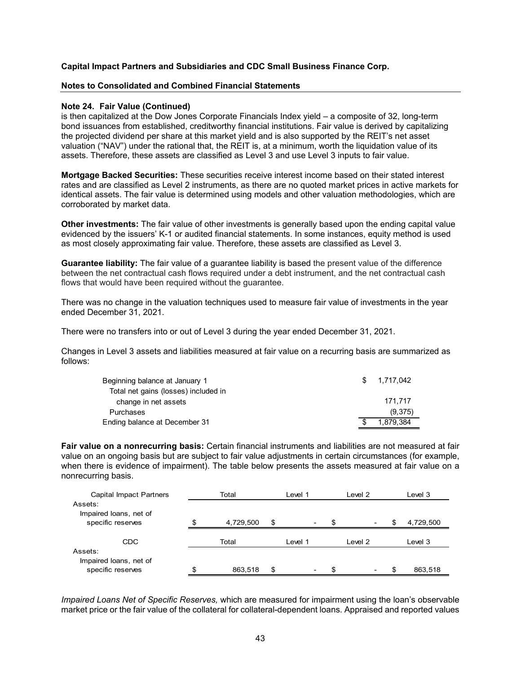#### **Notes to Consolidated and Combined Financial Statements**

#### **Note 24. Fair Value (Continued)**

is then capitalized at the Dow Jones Corporate Financials Index yield – a composite of 32, long-term bond issuances from established, creditworthy financial institutions. Fair value is derived by capitalizing the projected dividend per share at this market yield and is also supported by the REIT's net asset valuation ("NAV") under the rational that, the REIT is, at a minimum, worth the liquidation value of its assets. Therefore, these assets are classified as Level 3 and use Level 3 inputs to fair value.

**Mortgage Backed Securities:** These securities receive interest income based on their stated interest rates and are classified as Level 2 instruments, as there are no quoted market prices in active markets for identical assets. The fair value is determined using models and other valuation methodologies, which are corroborated by market data.

**Other investments:** The fair value of other investments is generally based upon the ending capital value evidenced by the issuers' K-1 or audited financial statements. In some instances, equity method is used as most closely approximating fair value. Therefore, these assets are classified as Level 3.

**Guarantee liability:** The fair value of a guarantee liability is based the present value of the difference between the net contractual cash flows required under a debt instrument, and the net contractual cash flows that would have been required without the guarantee.

There was no change in the valuation techniques used to measure fair value of investments in the year ended December 31, 2021.

There were no transfers into or out of Level 3 during the year ended December 31, 2021.

Changes in Level 3 assets and liabilities measured at fair value on a recurring basis are summarized as follows:

| Beginning balance at January 1       | SS. | 1.717.042 |
|--------------------------------------|-----|-----------|
| Total net gains (losses) included in |     |           |
| change in net assets                 |     | 171.717   |
| Purchases                            |     | (9,375)   |
| Ending balance at December 31        |     | 1.879.384 |

**Fair value on a nonrecurring basis:** Certain financial instruments and liabilities are not measured at fair value on an ongoing basis but are subject to fair value adjustments in certain circumstances (for example, when there is evidence of impairment). The table below presents the assets measured at fair value on a nonrecurring basis.

| Capital Impact Partners           |       | Total     | Level 1 |  |    | Level 2                  | Level 3 |           |  |
|-----------------------------------|-------|-----------|---------|--|----|--------------------------|---------|-----------|--|
| Assets:<br>Impaired loans, net of |       |           |         |  |    |                          |         |           |  |
| specific reserves                 | \$    | 4,729,500 | \$      |  | \$ | $\overline{\phantom{a}}$ | S       | 4,729,500 |  |
| CDC                               | Total |           | Level 1 |  |    | Level 2                  | Level 3 |           |  |
| Assets:<br>Impaired loans, net of |       |           |         |  |    |                          |         |           |  |
| specific reserves                 | c     | 863,518   | \$      |  | \$ | $\overline{\phantom{0}}$ | \$      | 863,518   |  |

*Impaired Loans Net of Specific Reserves,* which are measured for impairment using the loan's observable market price or the fair value of the collateral for collateral-dependent loans. Appraised and reported values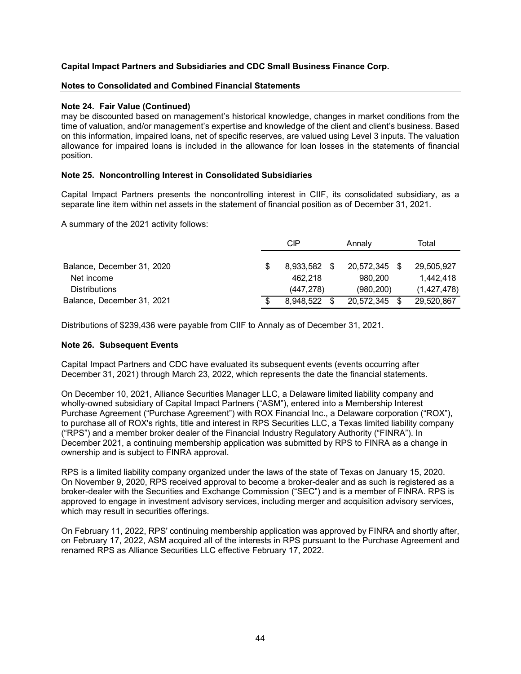## **Notes to Consolidated and Combined Financial Statements**

## **Note 24. Fair Value (Continued)**

may be discounted based on management's historical knowledge, changes in market conditions from the time of valuation, and/or management's expertise and knowledge of the client and client's business. Based on this information, impaired loans, net of specific reserves, are valued using Level 3 inputs. The valuation allowance for impaired loans is included in the allowance for loan losses in the statements of financial position.

## **Note 25. Noncontrolling Interest in Consolidated Subsidiaries**

Capital Impact Partners presents the noncontrolling interest in CIIF, its consolidated subsidiary, as a separate line item within net assets in the statement of financial position as of December 31, 2021.

A summary of the 2021 activity follows:

|                            | CIP       | Annaly        | Total |               |  |
|----------------------------|-----------|---------------|-------|---------------|--|
|                            |           |               |       |               |  |
| Balance, December 31, 2020 | 8.933.582 | 20,572,345 \$ |       | 29,505,927    |  |
| Net income                 | 462.218   | 980.200       |       | 1.442.418     |  |
| <b>Distributions</b>       | (447.278) | (980, 200)    |       | (1, 427, 478) |  |
| Balance, December 31, 2021 | 8.948.522 | 20,572,345    |       | 29,520,867    |  |

Distributions of \$239,436 were payable from CIIF to Annaly as of December 31, 2021.

#### **Note 26. Subsequent Events**

Capital Impact Partners and CDC have evaluated its subsequent events (events occurring after December 31, 2021) through March 23, 2022, which represents the date the financial statements.

On December 10, 2021, Alliance Securities Manager LLC, a Delaware limited liability company and wholly-owned subsidiary of Capital Impact Partners ("ASM"), entered into a Membership Interest Purchase Agreement ("Purchase Agreement") with ROX Financial Inc., a Delaware corporation ("ROX"), to purchase all of ROX's rights, title and interest in RPS Securities LLC, a Texas limited liability company ("RPS") and a member broker dealer of the Financial Industry Regulatory Authority ("FINRA"). In December 2021, a continuing membership application was submitted by RPS to FINRA as a change in ownership and is subject to FINRA approval.

RPS is a limited liability company organized under the laws of the state of Texas on January 15, 2020. On November 9, 2020, RPS received approval to become a broker-dealer and as such is registered as a broker-dealer with the Securities and Exchange Commission ("SEC") and is a member of FINRA. RPS is approved to engage in investment advisory services, including merger and acquisition advisory services, which may result in securities offerings.

On February 11, 2022, RPS' continuing membership application was approved by FINRA and shortly after, on February 17, 2022, ASM acquired all of the interests in RPS pursuant to the Purchase Agreement and renamed RPS as Alliance Securities LLC effective February 17, 2022.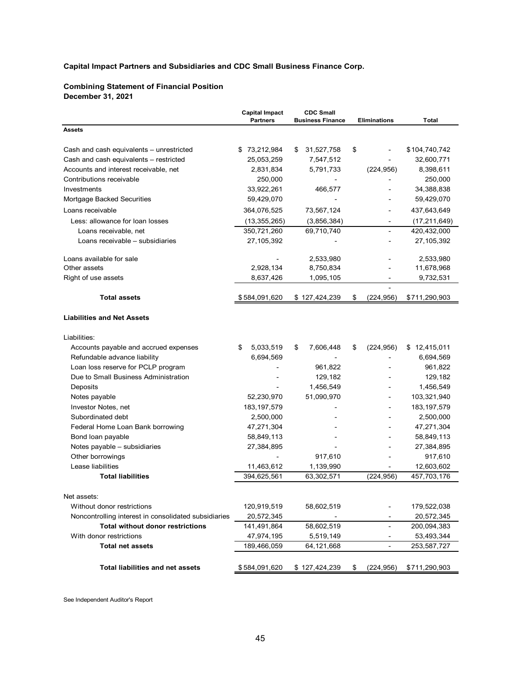### **Combining Statement of Financial Position December 31, 2021**

|                                                      | <b>Capital Impact</b><br><b>Partners</b> | <b>CDC Small</b><br><b>Business Finance</b> | <b>Eliminations</b>      | Total          |
|------------------------------------------------------|------------------------------------------|---------------------------------------------|--------------------------|----------------|
| <b>Assets</b>                                        |                                          |                                             |                          |                |
| Cash and cash equivalents - unrestricted             | \$73,212,984                             | 31,527,758<br>\$                            | \$                       | \$104,740,742  |
| Cash and cash equivalents - restricted               | 25,053,259                               | 7,547,512                                   |                          | 32,600,771     |
| Accounts and interest receivable, net                | 2,831,834                                | 5,791,733                                   | (224, 956)               | 8,398,611      |
| Contributions receivable                             | 250,000                                  |                                             |                          | 250,000        |
| Investments                                          | 33,922,261                               | 466,577                                     |                          | 34,388,838     |
| Mortgage Backed Securities                           | 59,429,070                               |                                             |                          | 59,429,070     |
| Loans receivable                                     | 364,076,525                              | 73,567,124                                  |                          | 437,643,649    |
| Less: allowance for loan losses                      | (13, 355, 265)                           | (3,856,384)                                 |                          | (17, 211, 649) |
| Loans receivable, net                                | 350,721,260                              | 69,710,740                                  |                          | 420,432,000    |
| Loans receivable - subsidiaries                      | 27,105,392                               |                                             |                          | 27, 105, 392   |
| Loans available for sale                             |                                          | 2,533,980                                   |                          | 2,533,980      |
| Other assets                                         | 2,928,134                                | 8,750,834                                   |                          | 11,678,968     |
| Right of use assets                                  | 8,637,426                                | 1,095,105                                   |                          | 9,732,531      |
| <b>Total assets</b>                                  | \$584,091,620                            | \$127,424,239                               | \$<br>(224, 956)         | \$711,290,903  |
| <b>Liabilities and Net Assets</b>                    |                                          |                                             |                          |                |
| Liabilities:                                         |                                          |                                             |                          |                |
| Accounts payable and accrued expenses                | \$<br>5,033,519                          | \$<br>7,606,448                             | \$<br>(224, 956)         | \$12,415,011   |
| Refundable advance liability                         | 6,694,569                                |                                             |                          | 6,694,569      |
| Loan loss reserve for PCLP program                   |                                          | 961,822                                     |                          | 961,822        |
| Due to Small Business Administration                 |                                          | 129,182                                     |                          | 129,182        |
| Deposits                                             |                                          | 1,456,549                                   |                          | 1,456,549      |
| Notes payable                                        | 52,230,970                               | 51,090,970                                  |                          | 103,321,940    |
| Investor Notes, net                                  | 183, 197, 579                            |                                             |                          | 183, 197, 579  |
| Subordinated debt                                    | 2,500,000                                |                                             |                          | 2,500,000      |
| Federal Home Loan Bank borrowing                     | 47,271,304                               |                                             |                          | 47,271,304     |
| Bond loan payable                                    | 58,849,113                               |                                             |                          | 58,849,113     |
| Notes payable - subsidiaries                         | 27,384,895                               |                                             |                          | 27,384,895     |
| Other borrowings                                     |                                          | 917,610                                     |                          | 917,610        |
| Lease liabilities                                    | 11,463,612                               | 1,139,990                                   |                          | 12,603,602     |
| <b>Total liabilities</b>                             | 394,625,561                              | 63,302,571                                  | (224, 956)               | 457,703,176    |
| Net assets:                                          |                                          |                                             |                          |                |
| Without donor restrictions                           | 120,919,519                              | 58,602,519                                  |                          | 179,522,038    |
| Noncontrolling interest in consolidated subsidiaries | 20,572,345                               | $\overline{\phantom{a}}$                    |                          | 20,572,345     |
| <b>Total without donor restrictions</b>              | 141,491,864                              | 58,602,519                                  | $\overline{\phantom{0}}$ | 200,094,383    |
| With donor restrictions                              | 47,974,195                               | 5,519,149                                   |                          | 53,493,344     |
| <b>Total net assets</b>                              | 189,466,059                              | 64,121,668                                  | $\overline{a}$           | 253,587,727    |
| Total liabilities and net assets                     | \$584,091,620                            | \$127,424,239                               | (224, 956)<br>\$         | \$711,290,903  |
|                                                      |                                          |                                             |                          |                |

See Independent Auditor's Report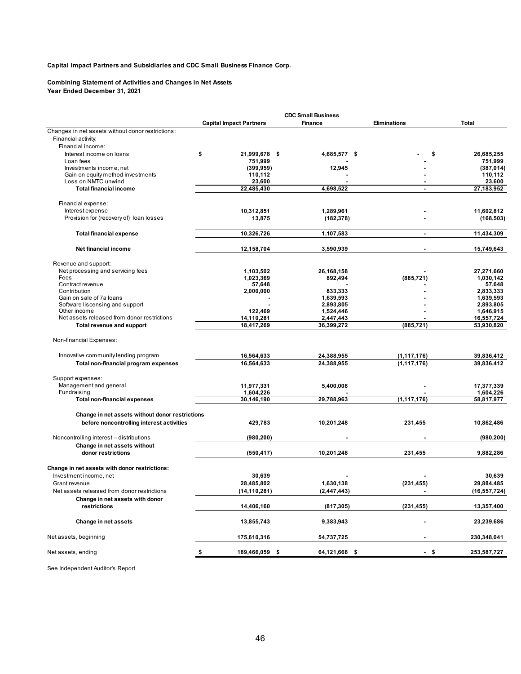#### **Combining Statement of Activities and Changes in Net Assets Year Ended December 31, 2021**

|                                                              |                                | <b>CDC Small Business</b> |                     |                        |
|--------------------------------------------------------------|--------------------------------|---------------------------|---------------------|------------------------|
|                                                              | <b>Capital Impact Partners</b> | <b>Finance</b>            | <b>Eliminations</b> | Total                  |
| Changes in net assets without donor restrictions:            |                                |                           |                     |                        |
| Financial activity:                                          |                                |                           |                     |                        |
| Financial income:                                            |                                |                           |                     |                        |
| Interest income on loans                                     | \$<br>21,999,678 \$            | 4,685,577 \$              |                     | 26,685,255<br>\$       |
| Loan fees                                                    | 751,999                        |                           |                     | 751,999                |
| Investments income, net<br>Gain on equity method investments | (399, 959)<br>110,112          | 12,945                    |                     | (387, 014)<br>110,112  |
| Loss on NMTC unwind                                          | 23,600                         |                           |                     | 23,600                 |
| <b>Total financial income</b>                                | 22,485,430                     | 4,698,522                 |                     | 27,183,952             |
|                                                              |                                |                           |                     |                        |
| Financial expense:<br>Interest expense                       |                                |                           |                     | 11.602.812             |
| Provision for (recovery of) loan losses                      | 10,312,851<br>13,875           | 1,289,961<br>(182, 378)   |                     | (168, 503)             |
|                                                              |                                |                           |                     |                        |
| <b>Total financial expense</b>                               | 10,326,726                     | 1,107,583                 | $\blacksquare$      | 11,434,309             |
| Net financial income                                         | 12,158,704                     | 3,590,939                 | $\blacksquare$      | 15,749,643             |
| Revenue and support:                                         |                                |                           |                     |                        |
| Net processing and servicing fees                            | 1,103,502                      | 26,168,158                |                     | 27,271,660             |
| Fees                                                         | 1,023,369                      | 892,494                   | (885, 721)          | 1,030,142              |
| Contract revenue                                             | 57,648                         |                           |                     | 57,648                 |
| Contribution                                                 | 2,000,000                      | 833,333                   |                     | 2,833,333              |
| Gain on sale of 7a loans<br>Software liscensing and support  |                                | 1,639,593                 |                     | 1,639,593              |
| Other income                                                 | 122,469                        | 2,893,805<br>1,524,446    |                     | 2,893,805<br>1,646,915 |
| Net assets released from donor restrictions                  | 14,110,281                     | 2,447,443                 |                     | 16,557,724             |
| Total revenue and support                                    | 18,417,269                     | 36,399,272                | (885, 721)          | 53,930,820             |
| Non-financial Expenses:                                      |                                |                           |                     |                        |
| Innovative community lending program                         | 16,564,633                     | 24,388,955                | (1, 117, 176)       | 39,836,412             |
| Total non-financial program expenses                         | 16,564,633                     | 24,388,955                | (1, 117, 176)       | 39,836,412             |
|                                                              |                                |                           |                     |                        |
| Support expenses:<br>Management and general                  | 11,977,331                     | 5,400,008                 |                     | 17,377,339             |
| Fundraising                                                  | 1,604,226                      |                           |                     | 1,604,226              |
| <b>Total non-financial expenses</b>                          | 30,146,190                     | 29,788,963                | (1, 117, 176)       | 58,817,977             |
|                                                              |                                |                           |                     |                        |
| Change in net assets without donor restrictions              |                                |                           |                     |                        |
| before noncontrolling interest activities                    | 429,783                        | 10,201,248                | 231,455             | 10,862,486             |
| Noncontrolling interest - distributions                      | (980, 200)                     |                           |                     | (980, 200)             |
| Change in net assets without                                 |                                |                           |                     |                        |
| donor restrictions                                           | (550, 417)                     | 10,201,248                | 231,455             | 9,882,286              |
| Change in net assets with donor restrictions:                |                                |                           |                     |                        |
| Investment income, net                                       | 30,639                         |                           |                     | 30,639                 |
| Grant revenue                                                | 28,485,802                     | 1,630,138                 | (231, 455)          | 29,884,485             |
| Net assets released from donor restrictions                  | (14,110,281)                   | (2,447,443)               |                     | (16,557,724)           |
| Change in net assets with donor                              |                                |                           |                     |                        |
| restrictions                                                 | 14,406,160                     | (817, 305)                | (231, 455)          | 13,357,400             |
| Change in net assets                                         | 13,855,743                     | 9,383,943                 |                     | 23,239,686             |
| Net assets, beginning                                        | 175,610,316                    | 54,737,725                |                     | 230,348,041            |
| Net assets, ending                                           | \$<br>189,466,059 \$           | 64,121,668 \$             | - \$                | 253,587,727            |

See Independent Auditor's Report